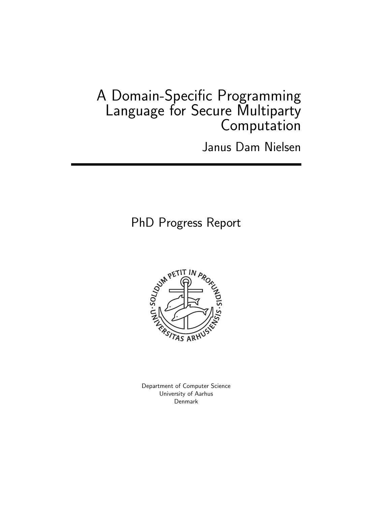# A Domain-Specific Programming Language for Secure Multiparty Computation

Janus Dam Nielsen

PhD Progress Report



Department of Computer Science University of Aarhus Denmark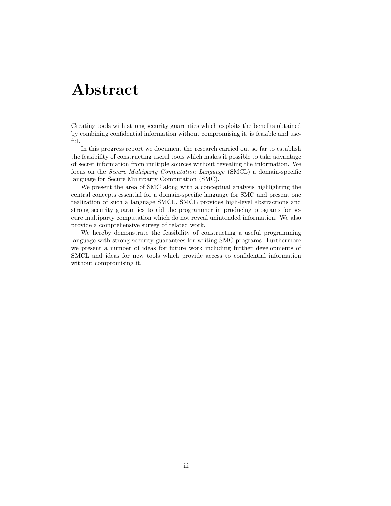## Abstract

Creating tools with strong security guaranties which exploits the benefits obtained by combining confidential information without compromising it, is feasible and useful.

In this progress report we document the research carried out so far to establish the feasibility of constructing useful tools which makes it possible to take advantage of secret information from multiple sources without revealing the information. We focus on the Secure Multiparty Computation Language (SMCL) a domain-specific language for Secure Multiparty Computation (SMC).

We present the area of SMC along with a conceptual analysis highlighting the central concepts essential for a domain-specific language for SMC and present one realization of such a language SMCL. SMCL provides high-level abstractions and strong security guaranties to aid the programmer in producing programs for secure multiparty computation which do not reveal unintended information. We also provide a comprehensive survey of related work.

We hereby demonstrate the feasibility of constructing a useful programming language with strong security guarantees for writing SMC programs. Furthermore we present a number of ideas for future work including further developments of SMCL and ideas for new tools which provide access to confidential information without compromising it.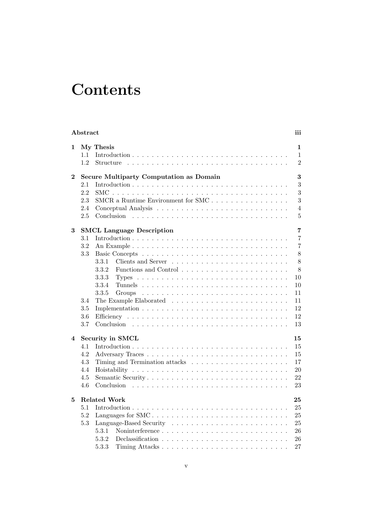# **Contents**

| Abstract<br>iii |                                                |                                    |                |  |  |
|-----------------|------------------------------------------------|------------------------------------|----------------|--|--|
| 1               |                                                | My Thesis                          | 1              |  |  |
|                 | 1.1                                            |                                    | 1              |  |  |
|                 | 1.2                                            | Structure                          | $\overline{2}$ |  |  |
| $\bf{2}$        | <b>Secure Multiparty Computation as Domain</b> |                                    |                |  |  |
|                 | 2.1                                            |                                    | 3<br>3         |  |  |
|                 | 2.2                                            |                                    | 3              |  |  |
|                 | 2.3                                            | SMCR a Runtime Environment for SMC | 3              |  |  |
|                 | 2.4                                            |                                    | $\overline{4}$ |  |  |
|                 | $2.5\,$                                        | Conclusion                         | 5              |  |  |
| 3               | <b>SMCL Language Description</b>               |                                    |                |  |  |
|                 | 3.1                                            |                                    | 7              |  |  |
|                 | 3.2                                            |                                    | 7              |  |  |
|                 | 3.3                                            |                                    | 8              |  |  |
|                 |                                                | 3.3.1                              | 8              |  |  |
|                 |                                                | 3.3.2                              | 8              |  |  |
|                 |                                                | 3.3.3                              | 10             |  |  |
|                 |                                                | 3.3.4                              | 10             |  |  |
|                 |                                                | 3.3.5<br>Groups                    | 11             |  |  |
|                 | 3.4                                            |                                    | 11             |  |  |
|                 | 3.5                                            |                                    | 12             |  |  |
|                 | 3.6                                            |                                    | 12             |  |  |
|                 | 3.7                                            | Conclusion                         | 13             |  |  |
| $\overline{4}$  |                                                | Security in SMCL                   | 15             |  |  |
|                 | 4.1                                            |                                    | 15             |  |  |
|                 | 4.2                                            |                                    | 15             |  |  |
|                 | 4.3                                            |                                    | 17             |  |  |
|                 | 4.4                                            |                                    | 20             |  |  |
|                 | 4.5                                            | Semantic Security                  | 22             |  |  |
|                 | 4.6                                            | Conclusion                         | 23             |  |  |
| 5               | <b>Related Work</b><br>25                      |                                    |                |  |  |
|                 | 5.1                                            |                                    | 25             |  |  |
|                 | 5.2                                            | Languages for SMC                  | 25             |  |  |
|                 | 5.3                                            | Language-Based Security            | 25             |  |  |
|                 |                                                | 5.3.1<br>Noninterference           | 26             |  |  |
|                 |                                                | 5.3.2                              | 26             |  |  |
|                 |                                                | 5.3.3                              | 27             |  |  |
|                 |                                                |                                    |                |  |  |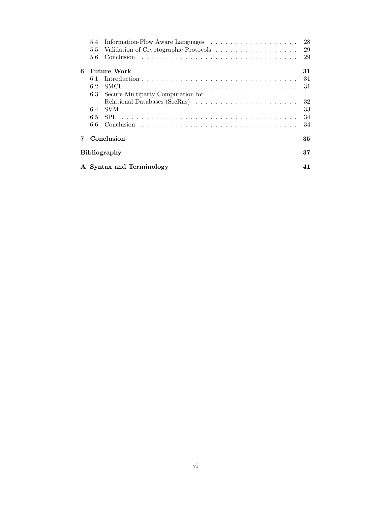| A Syntax and Terminology<br>41 |                    |                                   |          |  |  |  |  |
|--------------------------------|--------------------|-----------------------------------|----------|--|--|--|--|
| 37<br><b>Bibliography</b>      |                    |                                   |          |  |  |  |  |
|                                | Conclusion<br>35   |                                   |          |  |  |  |  |
|                                | 6.6                |                                   | 34       |  |  |  |  |
|                                | 6.5                |                                   | 34       |  |  |  |  |
|                                | 6.4                |                                   | 33       |  |  |  |  |
|                                |                    |                                   | 32       |  |  |  |  |
|                                | 6.3                | Secure Multiparty Computation for |          |  |  |  |  |
|                                | 6.1<br>6.2         |                                   | 31<br>31 |  |  |  |  |
| 6                              | <b>Future Work</b> |                                   |          |  |  |  |  |
|                                | 5.6                |                                   | 29       |  |  |  |  |
|                                | 5.5                |                                   | 29       |  |  |  |  |
|                                | 5.4                | Information-Flow Aware Languages  | 28       |  |  |  |  |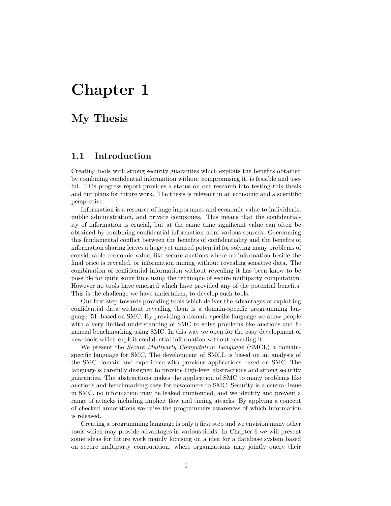# Chapter 1

## My Thesis

## 1.1 Introduction

Creating tools with strong security guaranties which exploits the benefits obtained by combining confidential information without compromising it, is feasible and useful. This progress report provides a status on our research into testing this thesis and our plans for future work. The thesis is relevant in an economic and a scientific perspective.

Information is a resource of huge importance and economic value to individuals, public administration, and private companies. This means that the confidentiality of information is crucial, but at the same time significant value can often be obtained by combining confidential information from various sources. Overcoming this fundamental conflict between the benefits of confidentiality and the benefits of information sharing leaves a huge yet unused potential for solving many problems of considerable economic value, like secure auctions where no information beside the final price is revealed, or information mining without revealing sensitive data. The combination of confidential information without revealing it has been know to be possible for quite some time using the technique of secure multiparty computation. However no tools have emerged which have provided any of the potential benefits. This is the challenge we have undertaken, to develop such tools.

Our first step towards providing tools which deliver the advantages of exploiting confidential data without revealing them is a domain-specific programming language [51] based on SMC. By providing a domain-specific language we allow people with a very limited understanding of SMC to solve problems like auctions and financial benchmarking using SMC. In this way we open for the easy development of new tools which exploit confidential information without revealing it.

We present the *Secure Multiparty Computation Language* (SMCL) a domainspecific language for SMC. The development of SMCL is based on an analysis of the SMC domain and experience with previous applications based on SMC. The language is carefully designed to provide high-level abstractions and strong security guaranties. The abstractions makes the application of SMC to many problems like auctions and benchmarking easy for newcomers to SMC. Security is a central issue in SMC, no information may be leaked unintended, and we identify and prevent a range of attacks including implicit flow and timing attacks. By applying a concept of checked annotations we raise the programmers awareness of which information is released.

Creating a programming language is only a first step and we envision many other tools which may provide advantages in various fields. In Chapter 6 we will present some ideas for future work mainly focusing on a idea for a database system based on secure multiparty computation, where organizations may jointly query their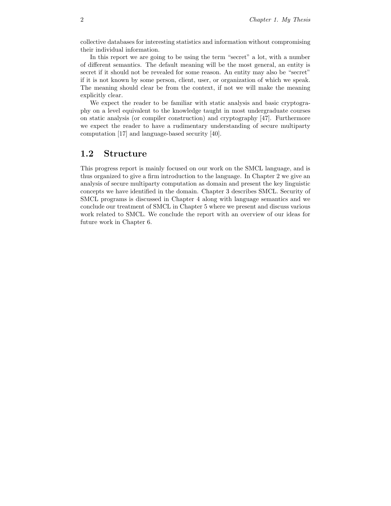collective databases for interesting statistics and information without compromising their individual information.

In this report we are going to be using the term "secret" a lot, with a number of different semantics. The default meaning will be the most general, an entity is secret if it should not be revealed for some reason. An entity may also be "secret" if it is not known by some person, client, user, or organization of which we speak. The meaning should clear be from the context, if not we will make the meaning explicitly clear.

We expect the reader to be familiar with static analysis and basic cryptography on a level equivalent to the knowledge taught in most undergraduate courses on static analysis (or compiler construction) and cryptography [47]. Furthermore we expect the reader to have a rudimentary understanding of secure multiparty computation [17] and language-based security [40].

## 1.2 Structure

This progress report is mainly focused on our work on the SMCL language, and is thus organized to give a firm introduction to the language. In Chapter 2 we give an analysis of secure multiparty computation as domain and present the key linguistic concepts we have identified in the domain. Chapter 3 describes SMCL. Security of SMCL programs is discussed in Chapter 4 along with language semantics and we conclude our treatment of SMCL in Chapter 5 where we present and discuss various work related to SMCL. We conclude the report with an overview of our ideas for future work in Chapter 6.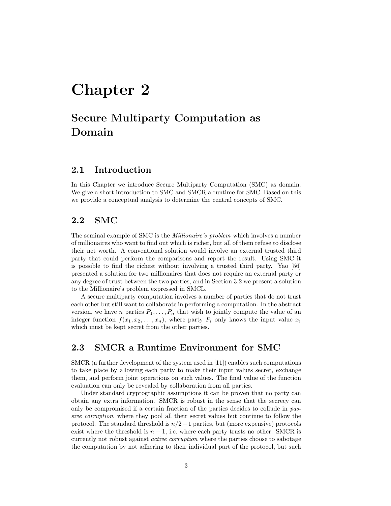# Chapter 2

## Secure Multiparty Computation as Domain

## 2.1 Introduction

In this Chapter we introduce Secure Multiparty Computation (SMC) as domain. We give a short introduction to SMC and SMCR a runtime for SMC. Based on this we provide a conceptual analysis to determine the central concepts of SMC.

### 2.2 SMC

The seminal example of SMC is the Millionaire's problem which involves a number of millionaires who want to find out which is richer, but all of them refuse to disclose their net worth. A conventional solution would involve an external trusted third party that could perform the comparisons and report the result. Using SMC it is possible to find the richest without involving a trusted third party. Yao [56] presented a solution for two millionaires that does not require an external party or any degree of trust between the two parties, and in Section 3.2 we present a solution to the Millionaire's problem expressed in SMCL.

A secure multiparty computation involves a number of parties that do not trust each other but still want to collaborate in performing a computation. In the abstract version, we have n parties  $P_1, \ldots, P_n$  that wish to jointly compute the value of an integer function  $f(x_1, x_2, \ldots, x_n)$ , where party  $P_i$  only knows the input value  $x_i$ which must be kept secret from the other parties.

## 2.3 SMCR a Runtime Environment for SMC

SMCR (a further development of the system used in [11]) enables such computations to take place by allowing each party to make their input values secret, exchange them, and perform joint operations on such values. The final value of the function evaluation can only be revealed by collaboration from all parties.

Under standard cryptographic assumptions it can be proven that no party can obtain any extra information. SMCR is robust in the sense that the secrecy can only be compromised if a certain fraction of the parties decides to collude in passive corruption, where they pool all their secret values but continue to follow the protocol. The standard threshold is  $n/2+1$  parties, but (more expensive) protocols exist where the threshold is  $n - 1$ , i.e. where each party trusts no other. SMCR is currently not robust against *active corruption* where the parties choose to sabotage the computation by not adhering to their individual part of the protocol, but such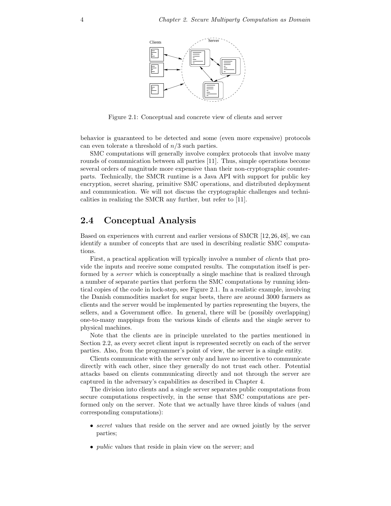

Figure 2.1: Conceptual and concrete view of clients and server

behavior is guaranteed to be detected and some (even more expensive) protocols can even tolerate a threshold of  $n/3$  such parties.

SMC computations will generally involve complex protocols that involve many rounds of communication between all parties [11]. Thus, simple operations become several orders of magnitude more expensive than their non-cryptographic counterparts. Technically, the SMCR runtime is a Java API with support for public key encryption, secret sharing, primitive SMC operations, and distributed deployment and communication. We will not discuss the cryptographic challenges and technicalities in realizing the SMCR any further, but refer to [11].

## 2.4 Conceptual Analysis

Based on experiences with current and earlier versions of SMCR [12, 26, 48], we can identify a number of concepts that are used in describing realistic SMC computations.

First, a practical application will typically involve a number of *clients* that provide the inputs and receive some computed results. The computation itself is performed by a *server* which is conceptually a single machine that is realized through a number of separate parties that perform the SMC computations by running identical copies of the code in lock-step, see Figure 2.1. In a realistic example, involving the Danish commodities market for sugar beets, there are around 3000 farmers as clients and the server would be implemented by parties representing the buyers, the sellers, and a Government office. In general, there will be (possibly overlapping) one-to-many mappings from the various kinds of clients and the single server to physical machines.

Note that the clients are in principle unrelated to the parties mentioned in Section 2.2, as every secret client input is represented secretly on each of the server parties. Also, from the programmer's point of view, the server is a single entity.

Clients communicate with the server only and have no incentive to communicate directly with each other, since they generally do not trust each other. Potential attacks based on clients communicating directly and not through the server are captured in the adversary's capabilities as described in Chapter 4.

The division into clients and a single server separates public computations from secure computations respectively, in the sense that SMC computations are performed only on the server. Note that we actually have three kinds of values (and corresponding computations):

- secret values that reside on the server and are owned jointly by the server parties;
- *public* values that reside in plain view on the server; and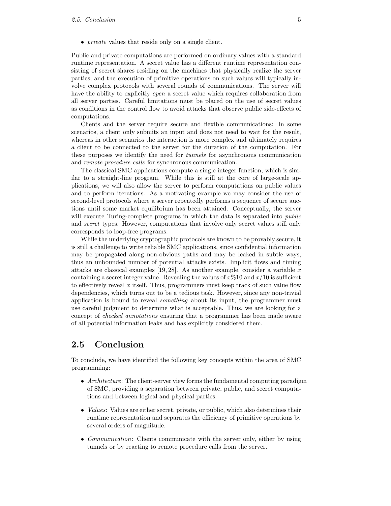• private values that reside only on a single client.

Public and private computations are performed on ordinary values with a standard runtime representation. A secret value has a different runtime representation consisting of secret shares residing on the machines that physically realize the server parties, and the execution of primitive operations on such values will typically involve complex protocols with several rounds of communications. The server will have the ability to explicitly open a secret value which requires collaboration from all server parties. Careful limitations must be placed on the use of secret values as conditions in the control flow to avoid attacks that observe public side-effects of computations.

Clients and the server require secure and flexible communications: In some scenarios, a client only submits an input and does not need to wait for the result, whereas in other scenarios the interaction is more complex and ultimately requires a client to be connected to the server for the duration of the computation. For these purposes we identify the need for *tunnels* for asynchronous communication and remote procedure calls for synchronous communication.

The classical SMC applications compute a single integer function, which is similar to a straight-line program. While this is still at the core of large-scale applications, we will also allow the server to perform computations on public values and to perform iterations. As a motivating example we may consider the use of second-level protocols where a server repeatedly performs a sequence of secure auctions until some market equilibrium has been attained. Conceptually, the server will execute Turing-complete programs in which the data is separated into *public* and secret types. However, computations that involve only secret values still only corresponds to loop-free programs.

While the underlying cryptographic protocols are known to be provably secure, it is still a challenge to write reliable SMC applications, since confidential information may be propagated along non-obvious paths and may be leaked in subtle ways, thus an unbounded number of potential attacks exists. Implicit flows and timing attacks are classical examples  $[19, 28]$ . As another example, consider a variable x containing a secret integer value. Revealing the values of  $x\%10$  and  $x/10$  is sufficient to effectively reveal  $x$  itself. Thus, programmers must keep track of such value flow dependencies, which turns out to be a tedious task. However, since any non-trivial application is bound to reveal something about its input, the programmer must use careful judgment to determine what is acceptable. Thus, we are looking for a concept of checked annotations ensuring that a programmer has been made aware of all potential information leaks and has explicitly considered them.

## 2.5 Conclusion

To conclude, we have identified the following key concepts within the area of SMC programming:

- Architecture: The client-server view forms the fundamental computing paradigm of SMC, providing a separation between private, public, and secret computations and between logical and physical parties.
- *Values*: Values are either secret, private, or public, which also determines their runtime representation and separates the efficiency of primitive operations by several orders of magnitude.
- *Communication*: Clients communicate with the server only, either by using tunnels or by reacting to remote procedure calls from the server.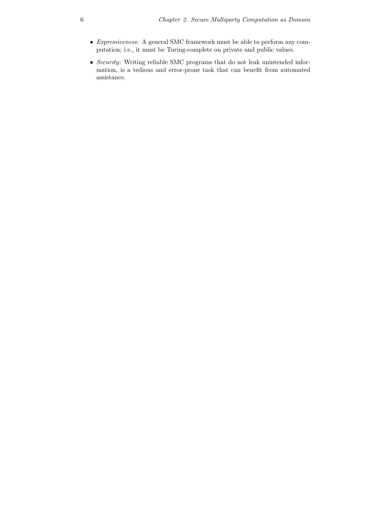- Expressiveness: A general SMC framework must be able to perform any computation; i.e., it must be Turing-complete on private and public values.
- Security: Writing reliable SMC programs that do not leak unintended information, is a tedious and error-prone task that can benefit from automated assistance.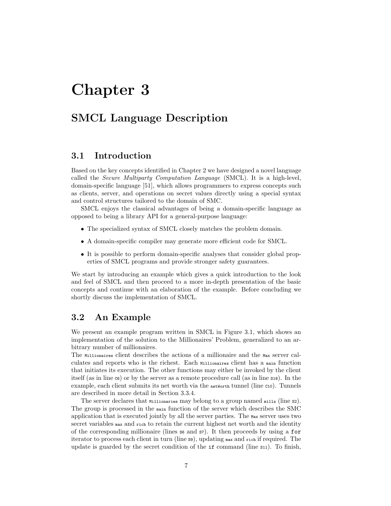# Chapter 3

## SMCL Language Description

## 3.1 Introduction

Based on the key concepts identified in Chapter 2 we have designed a novel language called the Secure Multiparty Computation Language (SMCL). It is a high-level, domain-specific language [51], which allows programmers to express concepts such as clients, server, and operations on secret values directly using a special syntax and control structures tailored to the domain of SMC.

SMCL enjoys the classical advantages of being a domain-specific language as opposed to being a library API for a general-purpose language:

- The specialized syntax of SMCL closely matches the problem domain.
- A domain-specific compiler may generate more efficient code for SMCL.
- It is possible to perform domain-specific analyses that consider global properties of SMCL programs and provide stronger safety guarantees.

We start by introducing an example which gives a quick introduction to the look and feel of SMCL and then proceed to a more in-depth presentation of the basic concepts and continue with an elaboration of the example. Before concluding we shortly discuss the implementation of SMCL.

### 3.2 An Example

We present an example program written in SMCL in Figure 3.1, which shows an implementation of the solution to the Millionaires' Problem, generalized to an arbitrary number of millionaires.

The Millionaires client describes the actions of a millionaire and the Max server calculates and reports who is the richest. Each Millionaires client has a main function that initiates its execution. The other functions may either be invoked by the client itself (as in line  $\epsilon$ ) or by the server as a remote procedure call (as in line  $\epsilon$ 18). In the example, each client submits its net worth via the networth tunnel (line c10). Tunnels are described in more detail in Section 3.3.4.

The server declares that  $M$ illionaries may belong to a group named  $\text{min}$  (line s2). The group is processed in the main function of the server which describes the SMC application that is executed jointly by all the server parties. The Max server uses two secret variables  $max$  and rich to retain the current highest net worth and the identity of the corresponding millionaire (lines  $\mathfrak{so}$  and  $\mathfrak{so}$ ). It then proceeds by using a for iterator to process each client in turn (line S9), updating max and rich if required. The update is guarded by the secret condition of the  $if$  command (line  $s_{11}$ ). To finish,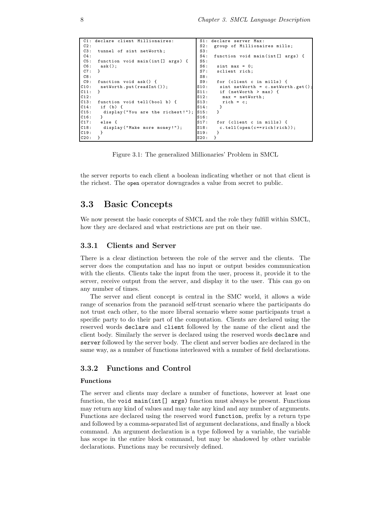```
C1 : declare client Millionaires:
 \frac{C2}{C3}:
       tunnel of sint netWorth;
 C4 :
 C5: function void main(int[] args) {<br>C6: ask():
      ask();<br>}
 C7:C8:<br>C9:function void ask () {
C10: netWorth.put (readInt());
C11: }
C12:
C13: function void tell (bool b) {
C14: if (b) f
C15: display ("You are the richest!");
C16: }<br>C17: e
        else {
C18: display ("Make more money!");<br>C19: }
C19:C20: }
                                                 S1: declare server Max:
                                                 S2: group of Millionaires mills;
                                                 S3 :<br>S4 :function void main (int\lceil \rceil args) {
                                                 S_5:<br>S_6:sint max = 0:
                                                 S7: sclient rich;
                                                 ss:<br>S9:for (client c in mills) {
                                                S10: sint netWorth = c.netWorth.get()
                                                S11: if (netWorth > max) {
                                                S12: max = netWorth:
                                                S13: \text{rich} = c;<br>S14: }
                                                S14:S15: }
                                                S16:<br>S17.for (client c in mills) {
                                                S18: c. tell ( open ( c == rich | rich ) );<br>S19:S19:S20: }
```
Figure 3.1: The generalized Millionaries' Problem in SMCL

the server reports to each client a boolean indicating whether or not that client is the richest. The open operator downgrades a value from secret to public.

## 3.3 Basic Concepts

We now present the basic concepts of SMCL and the role they fulfill within SMCL, how they are declared and what restrictions are put on their use.

#### 3.3.1 Clients and Server

There is a clear distinction between the role of the server and the clients. The server does the computation and has no input or output besides communication with the clients. Clients take the input from the user, process it, provide it to the server, receive output from the server, and display it to the user. This can go on any number of times.

The server and client concept is central in the SMC world, it allows a wide range of scenarios from the paranoid self-trust scenario where the participants do not trust each other, to the more liberal scenario where some participants trust a specific party to do their part of the computation. Clients are declared using the reserved words declare and client followed by the name of the client and the client body. Similarly the server is declared using the reserved words declare and server followed by the server body. The client and server bodies are declared in the same way, as a number of functions interleaved with a number of field declarations.

#### 3.3.2 Functions and Control

#### Functions

The server and clients may declare a number of functions, however at least one function, the void main(int[] args) function must always be present. Functions may return any kind of values and may take any kind and any number of arguments. Functions are declared using the reserved word function, prefix by a return type and followed by a comma-separated list of argument declarations, and finally a block command. An argument declaration is a type followed by a variable, the variable has scope in the entire block command, but may be shadowed by other variable declarations. Functions may be recursively defined.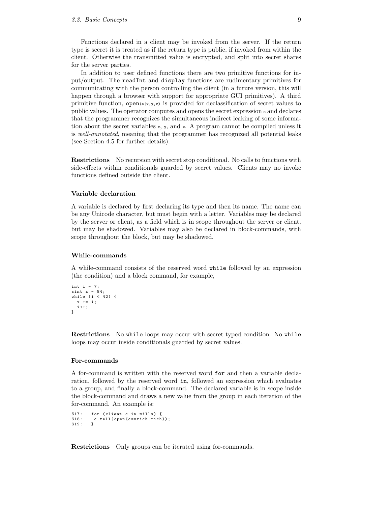Functions declared in a client may be invoked from the server. If the return type is secret it is treated as if the return type is public, if invoked from within the client. Otherwise the transmitted value is encrypted, and split into secret shares for the server parties.

In addition to user defined functions there are two primitive functions for input/output. The readInt and display functions are rudimentary primitives for communicating with the person controlling the client (in a future version, this will happen through a browser with support for appropriate GUI primitives). A third primitive function,  $open(e|x,y,z)$  is provided for declassification of secret values to public values. The operator computes and opens the secret expression <sup>e</sup> and declares that the programmer recognizes the simultaneous indirect leaking of some information about the secret variables  $x$ ,  $y$ , and  $z$ . A program cannot be compiled unless it is well-annotated, meaning that the programmer has recognized all potential leaks (see Section 4.5 for further details).

Restrictions No recursion with secret stop conditional. No calls to functions with side-effects within conditionals guarded by secret values. Clients may no invoke functions defined outside the client.

#### Variable declaration

A variable is declared by first declaring its type and then its name. The name can be any Unicode character, but must begin with a letter. Variables may be declared by the server or client, as a field which is in scope throughout the server or client, but may be shadowed. Variables may also be declared in block-commands, with scope throughout the block, but may be shadowed.

#### While-commands

A while-command consists of the reserved word while followed by an expression (the condition) and a block command, for example,

```
int i = 7;
sint x = 84;
while (i < 42) {
  x += i;
  i ++;
\mathbf{r}
```
Restrictions No while loops may occur with secret typed condition. No while loops may occur inside conditionals guarded by secret values.

#### For-commands

A for-command is written with the reserved word for and then a variable declaration, followed by the reserved word in, followed an expression which evaluates to a group, and finally a block-command. The declared variable is in scope inside the block-command and draws a new value from the group in each iteration of the for-command. An example is:

```
S17: for (client c in mills) {
S18: c.tell (open (c==rich | rich));<br>S19:S19.
```
Restrictions Only groups can be iterated using for-commands.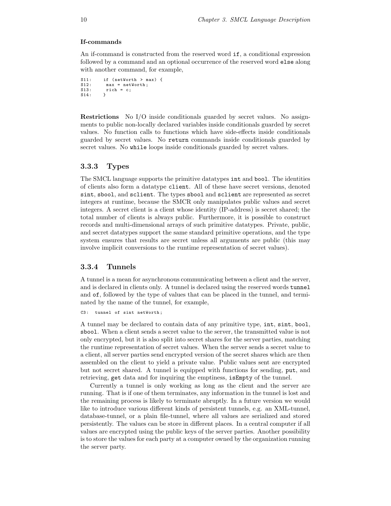#### If-commands

An if-command is constructed from the reserved word if, a conditional expression followed by a command and an optional occurrence of the reserved word else along with another command, for example,

```
S11: if (netWorth > max) {<br>S12: max = netWorth;
S12: max = netWorth;<br>S13: rich = c:
                 \begin{cases} \text{rich} = c; \\ \end{cases}S<sub>14</sub>:
```
Restrictions No I/O inside conditionals guarded by secret values. No assignments to public non-locally declared variables inside conditionals guarded by secret values. No function calls to functions which have side-effects inside conditionals guarded by secret values. No return commands inside conditionals guarded by secret values. No while loops inside conditionals guarded by secret values.

#### 3.3.3 Types

The SMCL language supports the primitive datatypes int and bool. The identities of clients also form a datatype client. All of these have secret versions, denoted sint, sbool, and sclient. The types sbool and sclient are represented as secret integers at runtime, because the SMCR only manipulates public values and secret integers. A secret client is a client whose identity (IP-address) is secret shared; the total number of clients is always public. Furthermore, it is possible to construct records and multi-dimensional arrays of such primitive datatypes. Private, public, and secret datatypes support the same standard primitive operations, and the type system ensures that results are secret unless all arguments are public (this may involve implicit conversions to the runtime representation of secret values).

#### 3.3.4 Tunnels

A tunnel is a mean for asynchronous communicating between a client and the server, and is declared in clients only. A tunnel is declared using the reserved words tunnel and of, followed by the type of values that can be placed in the tunnel, and terminated by the name of the tunnel, for example,

```
C3: tunnel of sint netWorth;
```
A tunnel may be declared to contain data of any primitive type, int, sint, bool, sbool. When a client sends a secret value to the server, the transmitted value is not only encrypted, but it is also split into secret shares for the server parties, matching the runtime representation of secret values. When the server sends a secret value to a client, all server parties send encrypted version of the secret shares which are then assembled on the client to yield a private value. Public values sent are encrypted but not secret shared. A tunnel is equipped with functions for sending, put, and retrieving, get data and for inquiring the emptiness, isEmpty of the tunnel.

Currently a tunnel is only working as long as the client and the server are running. That is if one of them terminates, any information in the tunnel is lost and the remaining process is likely to terminate abruptly. In a future version we would like to introduce various different kinds of persistent tunnels, e.g. an XML-tunnel, database-tunnel, or a plain file-tunnel, where all values are serialized and stored persistently. The values can be store in different places. In a central computer if all values are encrypted using the public keys of the server parties. Another possibility is to store the values for each party at a computer owned by the organization running the server party.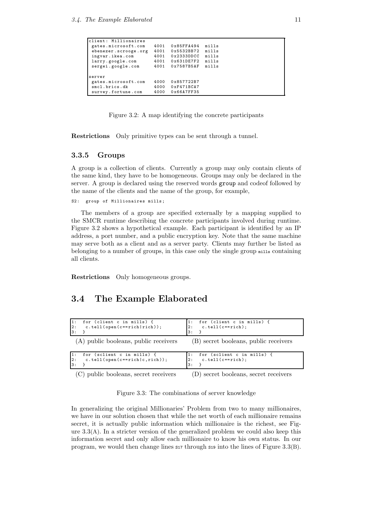| client: Millionaires |      |                      |       |  |
|----------------------|------|----------------------|-------|--|
| gates.microsoft.com  | 4001 | $0 \times 85$ FFA494 | mills |  |
| ebenezer.scrooge.org | 4001 | 0x5532BB72           | mills |  |
| ingvar.ikea.com      | 4001 | $0 \times 2333$ DDCC | mills |  |
| larry.google.com     | 4001 | $0 \times 631$ DE7F2 | mills |  |
| sergei.google.com    | 4001 | 0x7587B5AF           | mills |  |
| server               |      |                      |       |  |
| gates.microsoft.com  | 4000 | 0x857722B7           |       |  |
| smcl.brics.dk        | 4000 | $0 \times F471BCA7$  |       |  |
| survey.fortune.com   | 4000 | 0x66A7FF35           |       |  |

Figure 3.2: A map identifying the concrete participants

Restrictions Only primitive types can be sent through a tunnel.

#### 3.3.5 Groups

A group is a collection of clients. Currently a group may only contain clients of the same kind, they have to be homogeneous. Groups may only be declared in the server. A group is declared using the reserved words group and codeof followed by the name of the clients and the name of the group, for example,

```
S2: group of Millionaires mills;
```
The members of a group are specified externally by a mapping supplied to the SMCR runtime describing the concrete participants involved during runtime. Figure 3.2 shows a hypothetical example. Each participant is identified by an IP address, a port number, and a public encryption key. Note that the same machine may serve both as a client and as a server party. Clients may further be listed as belonging to a number of groups, in this case only the single group  $\frac{minim}{}$ all clients.

Restrictions Only homogeneous groups.

## 3.4 The Example Elaborated

| 1:<br>for (client c in mills) {<br>$c. tell (open (c=rich   rich));$<br>2:<br>3:      | for (client c in mills) {<br>$c. tell (c=rich);$<br>2:<br>3:  |
|---------------------------------------------------------------------------------------|---------------------------------------------------------------|
| (A) public booleans, public receivers                                                 | (B) secret booleans, public receivers                         |
| 1:<br>for (sclient c in mills) {<br>$c. tell (open (c=rich   c, rich))$ ;<br>2:<br>3: | for (sclient c in mills) {<br>$c. tell (c=rich);$<br>2:<br>3: |
| (C) public booleans, secret receivers                                                 | (D) secret booleans, secret receivers                         |

Figure 3.3: The combinations of server knowledge

In generalizing the original Millionaries' Problem from two to many millionaires, we have in our solution chosen that while the net worth of each millionaire remains secret, it is actually public information which millionaire is the richest, see Figure  $3.3(A)$ . In a stricter version of the generalized problem we could also keep this information secret and only allow each millionaire to know his own status. In our program, we would then change lines S17 through S19 into the lines of Figure 3.3(B).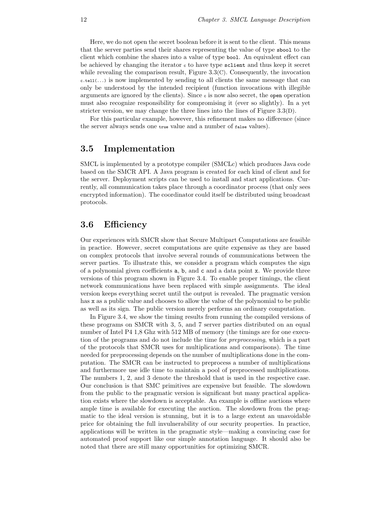Here, we do not open the secret boolean before it is sent to the client. This means that the server parties send their shares representing the value of type sbool to the client which combine the shares into a value of type bool. An equivalent effect can be achieved by changing the iterator <sup>c</sup> to have type sclient and thus keep it secret while revealing the comparison result, Figure  $3.3(C)$ . Consequently, the invocation  $\text{c.tell}(\ldots)$  is now implemented by sending to all clients the same message that can only be understood by the intended recipient (function invocations with illegible arguments are ignored by the clients). Since  $\epsilon$  is now also secret, the open operation must also recognize responsibility for compromising it (ever so slightly). In a yet stricter version, we may change the three lines into the lines of Figure 3.3(D).

For this particular example, however, this refinement makes no difference (since the server always sends one true value and a number of false values).

## 3.5 Implementation

SMCL is implemented by a prototype compiler (SMCLc) which produces Java code based on the SMCR API. A Java program is created for each kind of client and for the server. Deployment scripts can be used to install and start applications. Currently, all communication takes place through a coordinator process (that only sees encrypted information). The coordinator could itself be distributed using broadcast protocols.

## 3.6 Efficiency

Our experiences with SMCR show that Secure Multipart Computations are feasible in practice. However, secret computations are quite expensive as they are based on complex protocols that involve several rounds of communications between the server parties. To illustrate this, we consider a program which computes the sign of a polynomial given coefficients a, b, and c and a data point x. We provide three versions of this program shown in Figure 3.4. To enable proper timings, the client network communications have been replaced with simple assignments. The ideal version keeps everything secret until the output is revealed. The pragmatic version has x as a public value and chooses to allow the value of the polynomial to be public as well as its sign. The public version merely performs an ordinary computation.

In Figure 3.4, we show the timing results from running the compiled versions of these programs on SMCR with 3, 5, and 7 server parties distributed on an equal number of Intel P4 1,8 Ghz with 512 MB of memory (the timings are for one execution of the programs and do not include the time for preprocessing, which is a part of the protocols that SMCR uses for multiplications and comparisons). The time needed for preprocessing depends on the number of multiplications done in the computation. The SMCR can be instructed to preprocess a number of multiplications and furthermore use idle time to maintain a pool of preprocessed multiplications. The numbers 1, 2, and 3 denote the threshold that is used in the respective case. Our conclusion is that SMC primitives are expensive but feasible. The slowdown from the public to the pragmatic version is significant but many practical application exists where the slowdown is acceptable. An example is offline auctions where ample time is available for executing the auction. The slowdown from the pragmatic to the ideal version is stunning, but it is to a large extent an unavoidable price for obtaining the full invulnerability of our security properties. In practice, applications will be written in the pragmatic style—making a convincing case for automated proof support like our simple annotation language. It should also be noted that there are still many opportunities for optimizing SMCR.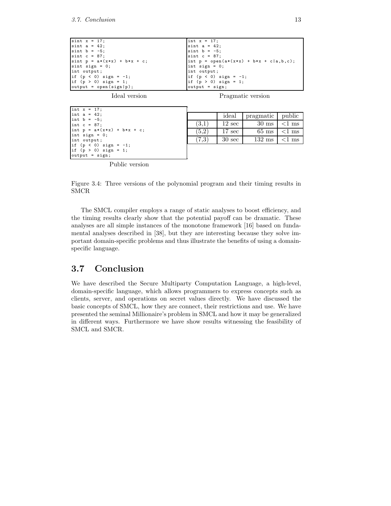| $sint x = 17$ ;               | int $x = 17$ ;                           |
|-------------------------------|------------------------------------------|
| sint $a = 42$ ;               | sint $a = 42$ ;                          |
| sint $b = -5$ ;               | sint $b = -5$ ;                          |
| $sint c = 87$ ;               | sint $c = 87$ ;                          |
| sint $p = a*(x*x) + b*x + c;$ | int $p = open(a*(x*x) + b*x + c a,b,c);$ |
| $sint sign = 0;$              | int $sign = 0$ ;                         |
| int output;                   | int output;                              |
| if $(p < 0)$ sign = $-1$ ;    | if $(p < 0)$ sign = $-1$ ;               |
| if $(p > 0)$ sign = 1;        | if $(p > 0)$ sign = 1;                   |
| $output = open(sign p);$      | $output = sign;$                         |
| Ideal version                 | Pragmatic version                        |

 $int x = 17$ ;<br>int a = 42;  $= 42;$ int  $b = -5$ ; int  $c = 87$ ; int  $p = a * (x * x) + b * x + c$ ; int sign = 0; int output ; if  $(p < 0)$  sign =  $-1$ ; if  $(p > 0)$  sign = 1;  $output = sign;$ ideal | pragmatic | public  $(3,1)$  12 sec 30 ms  $|12 \text{ ms}$  $(5,2)$  17 sec 65 ms  $\lt 1$  ms  $(7,3)$  30 sec 132 ms  $|$  <1 ms

Public version

Figure 3.4: Three versions of the polynomial program and their timing results in SMCR

The SMCL compiler employs a range of static analyses to boost efficiency, and the timing results clearly show that the potential payoff can be dramatic. These analyses are all simple instances of the monotone framework [16] based on fundamental analyses described in [38], but they are interesting because they solve important domain-specific problems and thus illustrate the benefits of using a domainspecific language.

## 3.7 Conclusion

We have described the Secure Multiparty Computation Language, a high-level, domain-specific language, which allows programmers to express concepts such as clients, server, and operations on secret values directly. We have discussed the basic concepts of SMCL, how they are connect, their restrictions and use. We have presented the seminal Millionaire's problem in SMCL and how it may be generalized in different ways. Furthermore we have show results witnessing the feasibility of SMCL and SMCR.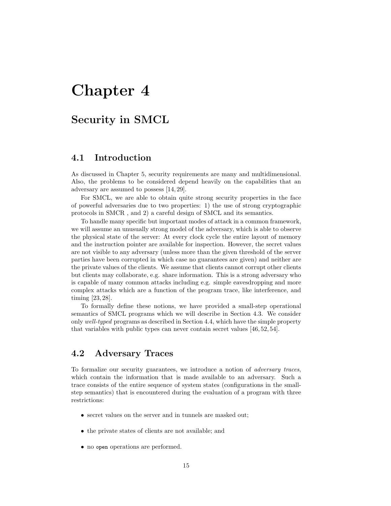## Chapter 4

## Security in SMCL

## 4.1 Introduction

As discussed in Chapter 5, security requirements are many and multidimensional. Also, the problems to be considered depend heavily on the capabilities that an adversary are assumed to possess [14, 29].

For SMCL, we are able to obtain quite strong security properties in the face of powerful adversaries due to two properties: 1) the use of strong cryptographic protocols in SMCR , and 2) a careful design of SMCL and its semantics.

To handle many specific but important modes of attack in a common framework, we will assume an unusually strong model of the adversary, which is able to observe the physical state of the server: At every clock cycle the entire layout of memory and the instruction pointer are available for inspection. However, the secret values are not visible to any adversary (unless more than the given threshold of the server parties have been corrupted in which case no guarantees are given) and neither are the private values of the clients. We assume that clients cannot corrupt other clients but clients may collaborate, e.g. share information. This is a strong adversary who is capable of many common attacks including e.g. simple eavesdropping and more complex attacks which are a function of the program trace, like interference, and timing [23, 28].

To formally define these notions, we have provided a small-step operational semantics of SMCL programs which we will describe in Section 4.3. We consider only well-typed programs as described in Section 4.4, which have the simple property that variables with public types can never contain secret values [46, 52, 54].

## 4.2 Adversary Traces

To formalize our security guarantees, we introduce a notion of adversary traces, which contain the information that is made available to an adversary. Such a trace consists of the entire sequence of system states (configurations in the smallstep semantics) that is encountered during the evaluation of a program with three restrictions:

- secret values on the server and in tunnels are masked out;
- the private states of clients are not available; and
- no open operations are performed.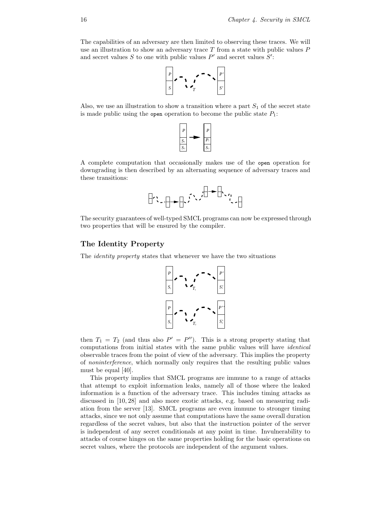The capabilities of an adversary are then limited to observing these traces. We will use an illustration to show an adversary trace  $T$  from a state with public values  $P$ and secret values  $S$  to one with public values  $P'$  and secret values  $S'$ :

*P S P' S' T*

Also, we use an illustration to show a transition where a part  $S_1$  of the secret state is made public using the open operation to become the public state  $P_1$ :



A complete computation that occasionally makes use of the open operation for downgrading is then described by an alternating sequence of adversary traces and these transitions:



The security guarantees of well-typed SMCL programs can now be expressed through two properties that will be ensured by the compiler.

#### The Identity Property

The identity property states that whenever we have the two situations



then  $T_1 = T_2$  (and thus also  $P' = P''$ ). This is a strong property stating that computations from initial states with the same public values will have identical observable traces from the point of view of the adversary. This implies the property of noninterference, which normally only requires that the resulting public values must be equal [40].

This property implies that SMCL programs are immune to a range of attacks that attempt to exploit information leaks, namely all of those where the leaked information is a function of the adversary trace. This includes timing attacks as discussed in [10, 28] and also more exotic attacks, e.g. based on measuring radiation from the server [13]. SMCL programs are even immune to stronger timing attacks, since we not only assume that computations have the same overall duration regardless of the secret values, but also that the instruction pointer of the server is independent of any secret conditionals at any point in time. Invulnerability to attacks of course hinges on the same properties holding for the basic operations on secret values, where the protocols are independent of the argument values.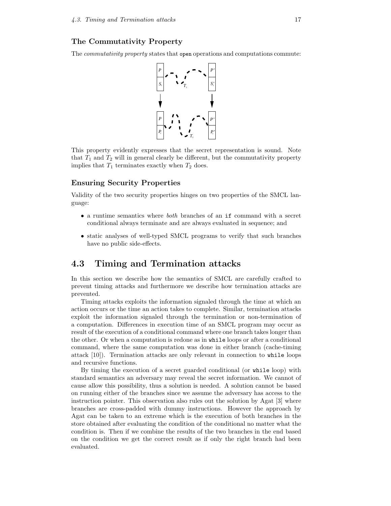#### The Commutativity Property

The *commutativity property* states that open operations and computations commute:



This property evidently expresses that the secret representation is sound. Note that  $T_1$  and  $T_2$  will in general clearly be different, but the commutativity property implies that  $T_1$  terminates exactly when  $T_2$  does.

#### Ensuring Security Properties

Validity of the two security properties hinges on two properties of the SMCL language:

- a runtime semantics where *both* branches of an if command with a secret conditional always terminate and are always evaluated in sequence; and
- static analyses of well-typed SMCL programs to verify that such branches have no public side-effects.

## 4.3 Timing and Termination attacks

In this section we describe how the semantics of SMCL are carefully crafted to prevent timing attacks and furthermore we describe how termination attacks are prevented.

Timing attacks exploits the information signaled through the time at which an action occurs or the time an action takes to complete. Similar, termination attacks exploit the information signaled through the termination or non-termination of a computation. Differences in execution time of an SMCL program may occur as result of the execution of a conditional command where one branch takes longer than the other. Or when a computation is redone as in while loops or after a conditional command, where the same computation was done in either branch (cache-timing attack [10]). Termination attacks are only relevant in connection to while loops and recursive functions.

By timing the execution of a secret guarded conditional (or while loop) with standard semantics an adversary may reveal the secret information. We cannot of cause allow this possibility, thus a solution is needed. A solution cannot be based on running either of the branches since we assume the adversary has access to the instruction pointer. This observation also rules out the solution by Agat [3] where branches are cross-padded with dummy instructions. However the approach by Agat can be taken to an extreme which is the execution of both branches in the store obtained after evaluating the condition of the conditional no matter what the condition is. Then if we combine the results of the two branches in the end based on the condition we get the correct result as if only the right branch had been evaluated.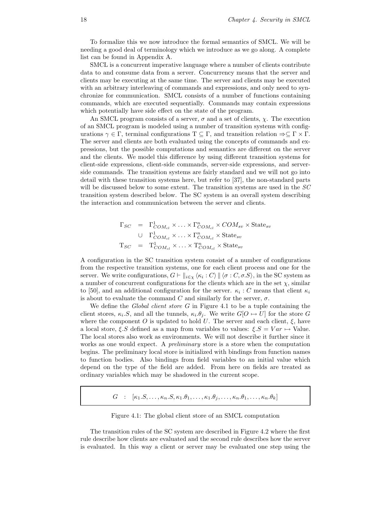To formalize this we now introduce the formal semantics of SMCL. We will be needing a good deal of terminology which we introduce as we go along. A complete list can be found in Appendix A.

SMCL is a concurrent imperative language where a number of clients contribute data to and consume data from a server. Concurrency means that the server and clients may be executing at the same time. The server and clients may be executed with an arbitrary interleaving of commands and expressions, and only need to synchronize for communication. SMCL consists of a number of functions containing commands, which are executed sequentially. Commands may contain expressions which potentially have side effect on the state of the program.

An SMCL program consists of a server,  $\sigma$  and a set of clients,  $\chi$ . The execution of an SMCL program is modeled using a number of transition systems with configurations  $\gamma \in \Gamma$ , terminal configurations  $T \subseteq \Gamma$ , and transition relation  $\Rightarrow \subseteq \Gamma \times \Gamma$ . The server and clients are both evaluated using the concepts of commands and expressions, but the possible computations and semantics are different on the server and the clients. We model this difference by using different transition systems for client-side expressions, client-side commands, server-side expressions, and serverside commands. The transition systems are fairly standard and we will not go into detail with these transition systems here, but refer to [37], the non-standard parts will be discussed below to some extent. The transition systems are used in the  $SC$ transition system described below. The SC system is an overall system describing the interaction and communication between the server and clients.

$$
\begin{array}{rcl}\n\Gamma_{SC} & = & \Gamma_{COM_{cl}}^1 \times \ldots \times \Gamma_{COM_{cl}}^n \times COM_{sv} \times \text{State}_{sv} \\
& \cup & \Gamma_{COM_{cl}}^1 \times \ldots \times \Gamma_{COM_{cl}}^n \times \text{State}_{sv} \\
\Upsilon_{SC} & = & \Gamma_{COM_{cl}}^1 \times \ldots \times \Gamma_{COM_{cl}}^n \times \text{State}_{sv}\n\end{array}
$$

A configuration in the SC transition system consist of a number of configurations from the respective transition systems, one for each client process and one for the server. We write configurations,  $G \vdash ||_{i \in \chi} \langle \kappa_i : C \rangle || \langle \sigma : C, \sigma.S \rangle$ , in the SC system as a number of concurrent configurations for the clients which are in the set  $\chi$ , similar to [50], and an additional configuration for the server.  $\kappa_i$ : C means that client  $\kappa_i$ is about to evaluate the command C and similarly for the server,  $\sigma$ .

We define the *Global client store*  $G$  in Figure 4.1 to be a tuple containing the client stores,  $\kappa_i.S$ , and all the tunnels,  $\kappa_i.\theta_j$ . We write  $G[O \mapsto U]$  for the store G where the component O is updated to hold U. The server and each client,  $\xi$ , have a local store,  $\xi.S$  defined as a map from variables to values:  $\xi.S = Var \mapsto$  Value. The local stores also work as environments. We will not describe it further since it works as one would expect. A *preliminary* store is a store when the computation begins. The preliminary local store is initialized with bindings from function names to function bodies. Also bindings from field variables to an initial value which depend on the type of the field are added. From here on fields are treated as ordinary variables which may be shadowed in the current scope.

 $G : [\kappa_1.S,\ldots,\kappa_n.S,\kappa_1.\theta_1,\ldots,\kappa_1.\theta_i,\ldots,\kappa_n.\theta_k]$ 

Figure 4.1: The global client store of an SMCL computation

The transition rules of the SC system are described in Figure 4.2 where the first rule describe how clients are evaluated and the second rule describes how the server is evaluated. In this way a client or server may be evaluated one step using the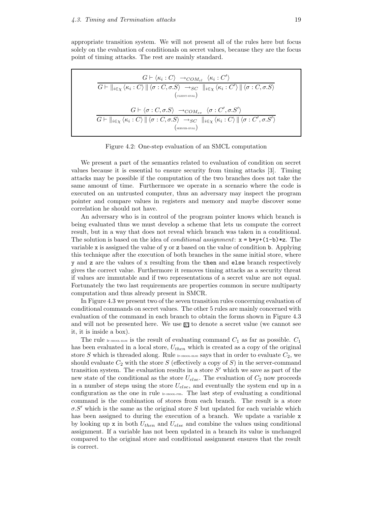appropriate transition system. We will not present all of the rules here but focus solely on the evaluation of conditionals on secret values, because they are the focus point of timing attacks. The rest are mainly standard.

$$
G \vdash \langle \kappa_i : C \rangle \rightarrow_{COM_{cl}} \langle \kappa_i : C' \rangle
$$
  
\n
$$
\overline{G \vdash ||_{i \in \chi} \langle \kappa_i : C \rangle || \langle \sigma : C, \sigma.S \rangle} \rightarrow_{SC} ||_{i \in \chi} \langle \kappa_i : C' \rangle || \langle \sigma : C, \sigma.S \rangle}
$$
  
\n
$$
\overline{G \vdash ||_{i \in \chi} \langle \kappa_i : C \rangle || \langle \sigma : C, \sigma.S \rangle} \rightarrow_{COM_{sv}} \langle \sigma : C', \sigma.S' \rangle}
$$
  
\n
$$
\overline{G \vdash ||_{i \in \chi} \langle \kappa_i : C \rangle || \langle \sigma : C, \sigma.S \rangle} \rightarrow_{SC} ||_{i \in \chi} \langle \kappa_i : C \rangle || \langle \sigma : C', \sigma.S' \rangle}
$$
  
\n
$$
\langle_{\text{SEWER-FVAL}} \rangle}
$$

Figure 4.2: One-step evaluation of an SMCL computation

We present a part of the semantics related to evaluation of condition on secret values because it is essential to ensure security from timing attacks [3]. Timing attacks may be possible if the computation of the two branches does not take the same amount of time. Furthermore we operate in a scenario where the code is executed on an untrusted computer, thus an adversary may inspect the program pointer and compare values in registers and memory and maybe discover some correlation he should not have.

An adversary who is in control of the program pointer knows which branch is being evaluated thus we must develop a scheme that lets us compute the correct result, but in a way that does not reveal which branch was taken in a conditional. The solution is based on the idea of *conditional assignment*:  $x = b*y+(1-b)*z$ . The variable x is assigned the value of y or z based on the value of condition b. Applying this technique after the execution of both branches in the same initial store, where y and z are the values of x resulting from the then and else branch respectively gives the correct value. Furthermore it removes timing attacks as a security threat if values are immutable and if two representations of a secret value are not equal. Fortunately the two last requirements are properties common in secure multiparty computation and thus already present in SMCR.

In Figure 4.3 we present two of the seven transition rules concerning evaluation of conditional commands on secret values. The other 5 rules are mainly concerned with evaluation of the command in each branch to obtain the forms shown in Figure 4.3 and will not be presented here. We use  $\overline{v}$  to denote a secret value (we cannot see it, it is inside a box).

The rule IF-SBOOL-ELSE is the result of evaluating command  $C_1$  as far as possible.  $C_1$ has been evaluated in a local store,  $U_{then}$  which is created as a copy of the original store S which is threaded along. Rule IF-SBOOL-ELSE SAYS that in order to evaluate  $C_2$ , we should evaluate  $C_2$  with the store S (effectively a copy of S) in the server-command transition system. The evaluation results in a store  $S'$  which we save as part of the new state of the conditional as the store  $U_{else}$ . The evaluation of  $C_2$  now proceeds in a number of steps using the store  $U_{else}$ , and eventually the system end up in a configuration as the one in rule IF-SBOOL-PHI. The last step of evaluating a conditional command is the combination of stores from each branch. The result is a store  $\sigma.S'$  which is the same as the original store S but updated for each variable which has been assigned to during the execution of a branch. We update a variable x by looking up x in both  $U_{then}$  and  $U_{else}$  and combine the values using conditional assignment. If a variable has not been updated in a branch its value is unchanged compared to the original store and conditional assignment ensures that the result is correct.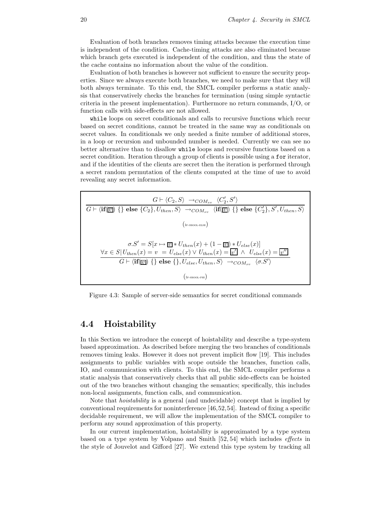Evaluation of both branches removes timing attacks because the execution time is independent of the condition. Cache-timing attacks are also eliminated because which branch gets executed is independent of the condition, and thus the state of the cache contains no information about the value of the condition.

Evaluation of both branches is however not sufficient to ensure the security properties. Since we always execute both branches, we need to make sure that they will both always terminate. To this end, the SMCL compiler performs a static analysis that conservatively checks the branches for termination (using simple syntactic criteria in the present implementation). Furthermore no return commands, I/O, or function calls with side-effects are not allowed.

while loops on secret conditionals and calls to recursive functions which recur based on secret conditions, cannot be treated in the same way as conditionals on secret values. In conditionals we only needed a finite number of additional stores, in a loop or recursion and unbounded number is needed. Currently we can see no better alternative than to disallow while loops and recursive functions based on a secret condition. Iteration through a group of clients is possible using a for iterator, and if the identities of the clients are secret then the iteration is performed through a secret random permutation of the clients computed at the time of use to avoid revealing any secret information.



Figure 4.3: Sample of server-side semantics for secret conditional commands

## 4.4 Hoistability

In this Section we introduce the concept of hoistability and describe a type-system based approximation. As described before merging the two branches of conditionals removes timing leaks. However it does not prevent implicit flow [19]. This includes assignments to public variables with scope outside the branches, function calls, IO, and communication with clients. To this end, the SMCL compiler performs a static analysis that conservatively checks that all public side-effects can be hoisted out of the two branches without changing the semantics; specifically, this includes non-local assignments, function calls, and communication.

Note that *hoistability* is a general (and undecidable) concept that is implied by conventional requirements for noninterference [46,52,54]. Instead of fixing a specific decidable requirement, we will allow the implementation of the SMCL compiler to perform any sound approximation of this property.

In our current implementation, hoistability is approximated by a type system based on a type system by Volpano and Smith [52, 54] which includes effects in the style of Jouvelot and Gifford [27]. We extend this type system by tracking all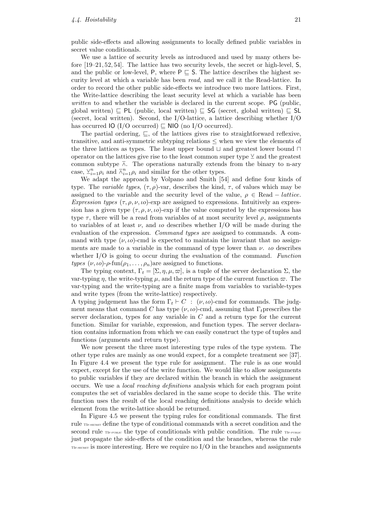public side-effects and allowing assignments to locally defined public variables in secret value conditionals.

We use a lattice of security levels as introduced and used by many others before [19–21, 52, 54]. The lattice has two security levels, the secret or high-level, S, and the public or low-level, P, where  $P \subseteq S$ . The lattice describes the highest security level at which a variable has been read, and we call it the Read-lattice. In order to record the other public side-effects we introduce two more lattices. First, the Write-lattice describing the least security level at which a variable has been written to and whether the variable is declared in the current scope. PG (public, global written)  $\subseteq$  PL (public, local written)  $\subseteq$  SG (secret, global written)  $\subseteq$  SL (secret, local written). Second, the I/O-lattice, a lattice describing whether I/O has occurred IO (I/O occurred)  $\sqsubseteq$  NIO (no I/O occurred).

The partial ordering, ⊑, of the lattices gives rise to straightforward reflexive, transitive, and anti-symmetric subtyping relations ≤ when we view the elements of the three lattices as types. The least upper bound ⊔ and greatest lower bound ⊓ operator on the lattices give rise to the least common super type  $\vee$  and the greatest common subtype  $\overline{\wedge}$ . The operations naturally extends from the binary to n-ary case,  $\vee_{i=1}^{n} \rho_i$  and  $\overline{\wedge}_{i=1}^{n} \rho_i$  and similar for the other types.

We adapt the approach by Volpano and Smith [54] and define four kinds of type. The variable types,  $(\tau, \rho)$ -var, describes the kind,  $\tau$ , of values which may be assigned to the variable and the security level of the value,  $\rho \in \text{Read} - lattice$ . Expression types  $(\tau, \rho, \nu, \iota)$ -exp are assigned to expressions. Intuitively an expression has a given type  $(\tau, \rho, \nu, \iota)$ -exp if the value computed by the expressions has type  $\tau$ , there will be a read from variables of at most security level  $\rho$ , assignments to variables of at least  $\nu$ , and  $\iota$  describes whether I/O will be made during the evaluation of the expression. Command types are assigned to commands. A command with type  $(\nu, \iota)$ -cmd is expected to maintain the invariant that no assignments are made to a variable in the command of type lower than  $\nu$ . *ιo* describes whether  $I/O$  is going to occur during the evaluation of the command. Function types  $(\nu, \iota)$ - $\rho$ -fun $(\rho_1, \ldots, \rho_n)$ are assigned to functions.

The typing context,  $\Gamma_t = [\Sigma, \eta, \mu, \varpi]$ , is a tuple of the server declaration  $\Sigma$ , the var-typing  $\eta$ , the write-typing  $\mu$ , and the return type of the current function  $\varpi$ . The var-typing and the write-typing are a finite maps from variables to variable-types and write types (from the write-lattice) respectively.

A typing judgement has the form  $\Gamma_t \vdash C : (\nu, \iota)$ -cmd for commands. The judgment means that command C has type  $(\nu, \iota)$ -cmd, assuming that  $\Gamma_t$ prescribes the server declaration, types for any variable in C and a return type for the current function. Similar for variable, expression, and function types. The server declaration contains information from which we can easily construct the type of tuples and functions (arguments and return type).

We now present the three most interesting type rules of the type system. The other type rules are mainly as one would expect, for a complete treatment see [37]. In Figure 4.4 we present the type rule for assignment. The rule is as one would expect, except for the use of the write function. We would like to allow assignments to public variables if they are declared within the branch in which the assignment occurs. We use a local reaching definitions analysis which for each program point computes the set of variables declared in the same scope to decide this. The write function uses the result of the local reaching definitions analysis to decide which element from the write-lattice should be returned.

In Figure 4.5 we present the typing rules for conditional commands. The first rule TIF-SECRET define the type of conditional commands with a secret condition and the second rule  $TIF$ -public the type of conditionals with public condition. The rule  $TIF$ -public just propagate the side-effects of the condition and the branches, whereas the rule  $T_{IF-SECRET}$  is more interesting. Here we require no I/O in the branches and assignments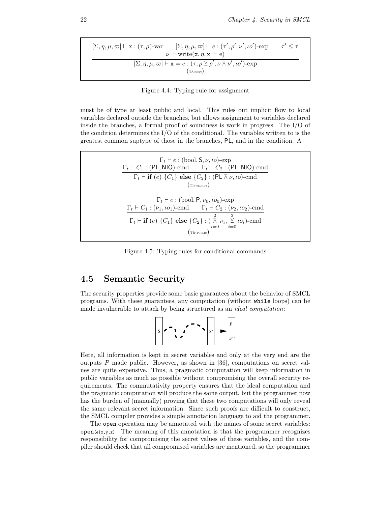$$
[\Sigma, \eta, \mu, \varpi] \vdash \mathbf{x} : (\tau, \rho) \text{-var} \qquad [\Sigma, \eta, \mu, \varpi] \vdash e : (\tau', \rho', \nu', \iota o') \text{-exp} \qquad \tau' \leq \tau
$$
  

$$
\nu = \text{write}(\mathbf{x}, \eta, \mathbf{x} = e)
$$
  

$$
[\Sigma, \eta, \mu, \varpi] \vdash \mathbf{x} = e : (\tau, \rho \vee \rho', \nu \wedge \nu', \iota o') \text{-exp}
$$
  

$$
\text{(masses)}
$$

Figure 4.4: Typing rule for assignment

must be of type at least public and local. This rules out implicit flow to local variables declared outside the branches, but allows assignment to variables declared inside the branches, a formal proof of soundness is work in progress. The I/O of the condition determines the I/O of the conditional. The variables written to is the greatest common suptype of those in the branches, PL, and in the condition. A

$$
\Gamma_t \vdash e : (\text{bool}, \mathsf{S}, \nu, \iota o) \text{-exp}
$$
\n
$$
\frac{\Gamma_t \vdash C_1 : (\mathsf{PL}, \mathsf{NIO}) \text{-cmd} \qquad \Gamma_t \vdash C_2 : (\mathsf{PL}, \mathsf{NIO}) \text{-cmd}}{\Gamma_t \vdash \mathbf{if} (e) \{C_1\} \mathbf{else} \{C_2\} : (\mathsf{PL} \,\overline{\wedge}\, \nu, \iota o) \text{-cmd}}
$$
\n
$$
(\text{TF-secner})
$$
\n
$$
\frac{\Gamma_t \vdash e : (\text{bool}, \mathsf{P}, \nu_0, \iota o_0) \text{-exp}}{\Gamma_t \vdash C_1 : (\nu_1, \iota o_1) \text{-cmd} \qquad \Gamma_t \vdash C_2 : (\nu_2, \iota o_2) \text{-cmd}}
$$
\n
$$
\frac{\Gamma_t \vdash \mathbf{if} (e) \{C_1\} \mathbf{else} \{C_2\} : (\stackrel{2}{\wedge} \nu_i, \stackrel{\mathcal{V}}{\underset{i=0}{\sim} \iota o_i}) \text{-cmd}}{\langle \text{TF-revsucc} \rangle}
$$

Figure 4.5: Typing rules for conditional commands

### 4.5 Semantic Security

The security properties provide some basic guarantees about the behavior of SMCL programs. With these guarantees, any computation (without while loops) can be made invulnerable to attack by being structured as an ideal computation:



Here, all information is kept in secret variables and only at the very end are the outputs P made public. However, as shown in [36], computations on secret values are quite expensive. Thus, a pragmatic computation will keep information in public variables as much as possible without compromising the overall security requirements. The commutativity property ensures that the ideal computation and the pragmatic computation will produce the same output, but the programmer now has the burden of (manually) proving that these two computations will only reveal the same relevant secret information. Since such proofs are difficult to construct, the SMCL compiler provides a simple annotation language to aid the programmer.

The open operation may be annotated with the names of some secret variables:  $open(e|x,y,z)$ . The meaning of this annotation is that the programmer recognizes responsibility for compromising the secret values of these variables, and the compiler should check that all compromised variables are mentioned, so the programmer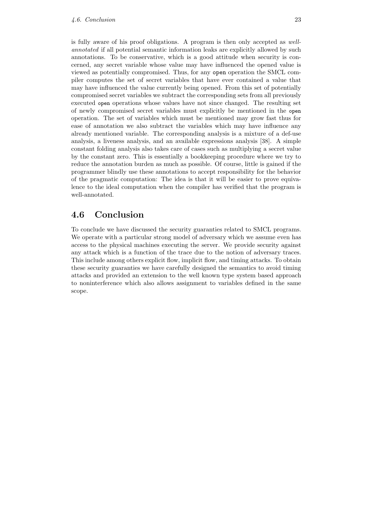is fully aware of his proof obligations. A program is then only accepted as wellannotated if all potential semantic information leaks are explicitly allowed by such annotations. To be conservative, which is a good attitude when security is concerned, any secret variable whose value may have influenced the opened value is viewed as potentially compromised. Thus, for any open operation the SMCL compiler computes the set of secret variables that have ever contained a value that may have influenced the value currently being opened. From this set of potentially compromised secret variables we subtract the corresponding sets from all previously executed open operations whose values have not since changed. The resulting set of newly compromised secret variables must explicitly be mentioned in the open operation. The set of variables which must be mentioned may grow fast thus for ease of annotation we also subtract the variables which may have influence any already mentioned variable. The corresponding analysis is a mixture of a def-use analysis, a liveness analysis, and an available expressions analysis [38]. A simple constant folding analysis also takes care of cases such as multiplying a secret value by the constant zero. This is essentially a bookkeeping procedure where we try to reduce the annotation burden as much as possible. Of course, little is gained if the programmer blindly use these annotations to accept responsibility for the behavior of the pragmatic computation: The idea is that it will be easier to prove equivalence to the ideal computation when the compiler has verified that the program is well-annotated.

## 4.6 Conclusion

To conclude we have discussed the security guaranties related to SMCL programs. We operate with a particular strong model of adversary which we assume even has access to the physical machines executing the server. We provide security against any attack which is a function of the trace due to the notion of adversary traces. This include among others explicit flow, implicit flow, and timing attacks. To obtain these security guaranties we have carefully designed the semantics to avoid timing attacks and provided an extension to the well known type system based approach to noninterference which also allows assignment to variables defined in the same scope.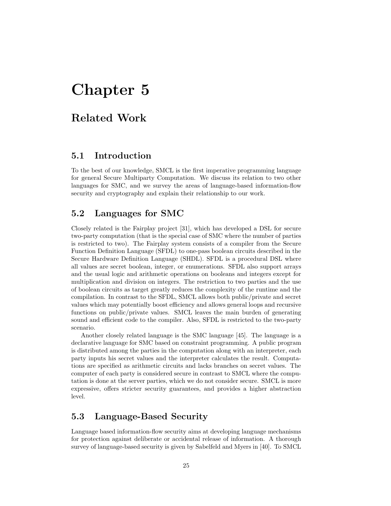## Chapter 5

## Related Work

## 5.1 Introduction

To the best of our knowledge, SMCL is the first imperative programming language for general Secure Multiparty Computation. We discuss its relation to two other languages for SMC, and we survey the areas of language-based information-flow security and cryptography and explain their relationship to our work.

## 5.2 Languages for SMC

Closely related is the Fairplay project [31], which has developed a DSL for secure two-party computation (that is the special case of SMC where the number of parties is restricted to two). The Fairplay system consists of a compiler from the Secure Function Definition Language (SFDL) to one-pass boolean circuits described in the Secure Hardware Definition Language (SHDL). SFDL is a procedural DSL where all values are secret boolean, integer, or enumerations. SFDL also support arrays and the usual logic and arithmetic operations on booleans and integers except for multiplication and division on integers. The restriction to two parties and the use of boolean circuits as target greatly reduces the complexity of the runtime and the compilation. In contrast to the SFDL, SMCL allows both public/private and secret values which may potentially boost efficiency and allows general loops and recursive functions on public/private values. SMCL leaves the main burden of generating sound and efficient code to the compiler. Also, SFDL is restricted to the two-party scenario.

Another closely related language is the SMC language [45]. The language is a declarative language for SMC based on constraint programming. A public program is distributed among the parties in the computation along with an interpreter, each party inputs his secret values and the interpreter calculates the result. Computations are specified as arithmetic circuits and lacks branches on secret values. The computer of each party is considered secure in contrast to SMCL where the computation is done at the server parties, which we do not consider secure. SMCL is more expressive, offers stricter security guarantees, and provides a higher abstraction level.

## 5.3 Language-Based Security

Language based information-flow security aims at developing language mechanisms for protection against deliberate or accidental release of information. A thorough survey of language-based security is given by Sabelfeld and Myers in [40]. To SMCL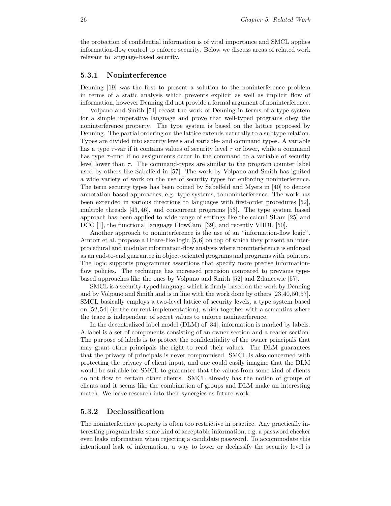the protection of confidential information is of vital importance and SMCL applies information-flow control to enforce security. Below we discuss areas of related work relevant to language-based security.

#### 5.3.1 Noninterference

Denning [19] was the first to present a solution to the noninterference problem in terms of a static analysis which prevents explicit as well as implicit flow of information, however Denning did not provide a formal argument of noninterference.

Volpano and Smith [54] recast the work of Denning in terms of a type system for a simple imperative language and prove that well-typed programs obey the noninterference property. The type system is based on the lattice proposed by Denning. The partial ordering on the lattice extends naturally to a subtype relation. Types are divided into security levels and variable- and command types. A variable has a type  $\tau$ -var if it contains values of security level  $\tau$  or lower, while a command has type  $\tau$ -cmd if no assignments occur in the command to a variable of security level lower than  $\tau$ . The command-types are similar to the program counter label used by others like Sabelfeld in [57]. The work by Volpano and Smith has ignited a wide variety of work on the use of security types for enforcing noninterference. The term security types has been coined by Sabelfeld and Myers in [40] to denote annotation based approaches, e.g. type systems, to noninterference. The work has been extended in various directions to languages with first-order procedures [52], multiple threads [43, 46], and concurrent programs [53]. The type system based approach has been applied to wide range of settings like the calculi SLam [25] and DCC [1], the functional language FlowCaml [39], and recently VHDL [50].

Another approach to noninterference is the use of an "information-flow logic". Amtoft et al. propose a Hoare-like logic [5, 6] on top of which they present an interprocedural and modular information-flow analysis where noninterference is enforced as an end-to-end guarantee in object-oriented programs and programs with pointers. The logic supports programmer assertions that specify more precise informationflow policies. The technique has increased precision compared to previous typebased approaches like the ones by Volpano and Smith [52] and Zdancewic [57].

SMCL is a security-typed language which is firmly based on the work by Denning and by Volpano and Smith and is in line with the work done by others [23,40,50,57]. SMCL basically employs a two-level lattice of security levels, a type system based on [52, 54] (in the current implementation), which together with a semantics where the trace is independent of secret values to enforce noninterference.

In the decentralized label model (DLM) of [34], information is marked by labels. A label is a set of components consisting of an owner section and a reader section. The purpose of labels is to protect the confidentiality of the owner principals that may grant other principals the right to read their values. The DLM guarantees that the privacy of principals is never compromised. SMCL is also concerned with protecting the privacy of client input, and one could easily imagine that the DLM would be suitable for SMCL to guarantee that the values from some kind of clients do not flow to certain other clients. SMCL already has the notion of groups of clients and it seems like the combination of groups and DLM make an interesting match. We leave research into their synergies as future work.

#### 5.3.2 Declassification

The noninterference property is often too restrictive in practice. Any practically interesting program leaks some kind of acceptable information, e.g. a password checker even leaks information when rejecting a candidate password. To accommodate this intentional leak of information, a way to lower or declassify the security level is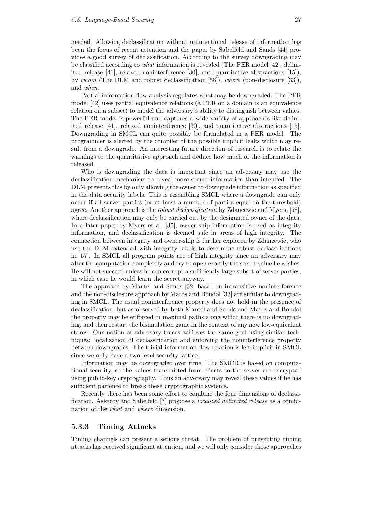needed. Allowing declassification without unintentional release of information has been the focus of recent attention and the paper by Sabelfeld and Sands [44] provides a good survey of declassification. According to the survey downgrading may be classified according to what information is revealed (The PER model [42], delimited release [41], relaxed noninterference [30], and quantitative abstractions [15]), by whom (The DLM and robust declassification [58]), where (non-disclosure [33]), and when.

Partial information flow analysis regulates what may be downgraded. The PER model [42] uses partial equivalence relations (a PER on a domain is an equivalence relation on a subset) to model the adversary's ability to distinguish between values. The PER model is powerful and captures a wide variety of approaches like delimited release [41], relaxed noninterference [30], and quantitative abstractions [15]. Downgrading in SMCL can quite possibly be formulated in a PER model. The programmer is alerted by the compiler of the possible implicit leaks which may result from a downgrade. An interesting future direction of research is to relate the warnings to the quantitative approach and deduce how much of the information is released.

Who is downgrading the data is important since an adversary may use the declassification mechanism to reveal more secure information than intended. The DLM prevents this by only allowing the owner to downgrade information as specified in the data security labels. This is resembling SMCL where a downgrade can only occur if all server parties (or at least a number of parties equal to the threshold) agree. Another approach is the robust declassification by Zdancewic and Myers. [58], where declassification may only be carried out by the designated owner of the data. In a later paper by Myers et al. [35], owner-ship information is used as integrity information, and declassification is deemed safe in areas of high integrity. The connection between integrity and owner-ship is further explored by Zdancewic, who use the DLM extended with integrity labels to determine robust declassifications in [57]. In SMCL all program points are of high integrity since an adversary may alter the computation completely and try to open exactly the secret value he wishes. He will not succeed unless he can corrupt a sufficiently large subset of server parties, in which case he would learn the secret anyway.

The approach by Mantel and Sands [32] based on intransitive noninterference and the non-disclosure approach by Matos and Boudol [33] are similar to downgrading in SMCL. The usual noninterference property does not hold in the presence of declassification, but as observed by both Mantel and Sands and Matos and Boudol the property may be enforced in maximal paths along which there is no downgrading, and then restart the bisimulation game in the context of any new low-equivalent stores. Our notion of adversary traces achieves the same goal using similar techniques: localization of declassification and enforcing the noninterference property between downgrades. The trivial information flow relation is left implicit in SMCL since we only have a two-level security lattice.

Information may be downgraded over time. The SMCR is based on computational security, so the values transmitted from clients to the server are encrypted using public-key cryptography. Thus an adversary may reveal these values if he has sufficient patience to break these cryptographic systems.

Recently there has been some effort to combine the four dimensions of declassification. Askarov and Sabelfeld [7] propose a localized delimited release as a combination of the what and where dimension.

#### 5.3.3 Timing Attacks

Timing channels can present a serious threat. The problem of preventing timing attacks has received significant attention, and we will only consider those approaches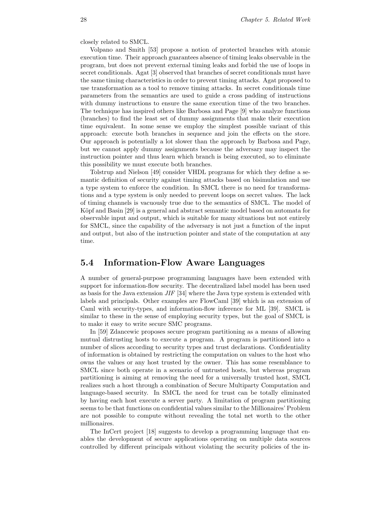closely related to SMCL.

Volpano and Smith [53] propose a notion of protected branches with atomic execution time. Their approach guarantees absence of timing leaks observable in the program, but does not prevent external timing leaks and forbid the use of loops in secret conditionals. Agat [3] observed that branches of secret conditionals must have the same timing characteristics in order to prevent timing attacks. Agat proposed to use transformation as a tool to remove timing attacks. In secret conditionals time parameters from the semantics are used to guide a cross padding of instructions with dummy instructions to ensure the same execution time of the two branches. The technique has inspired others like Barbosa and Page [9] who analyze functions (branches) to find the least set of dummy assignments that make their execution time equivalent. In some sense we employ the simplest possible variant of this approach: execute both branches in sequence and join the effects on the store. Our approach is potentially a lot slower than the approach by Barbosa and Page, but we cannot apply dummy assignments because the adversary may inspect the instruction pointer and thus learn which branch is being executed, so to eliminate this possibility we must execute both branches.

Tolstrup and Nielson [49] consider VHDL programs for which they define a semantic definition of security against timing attacks based on bisimulation and use a type system to enforce the condition. In SMCL there is no need for transformations and a type system is only needed to prevent loops on secret values. The lack of timing channels is vacuously true due to the semantics of SMCL. The model of Köpf and Basin [29] is a general and abstract semantic model based on automata for observable input and output, which is suitable for many situations but not entirely for SMCL, since the capability of the adversary is not just a function of the input and output, but also of the instruction pointer and state of the computation at any time.

## 5.4 Information-Flow Aware Languages

A number of general-purpose programming languages have been extended with support for information-flow security. The decentralized label model has been used as basis for the Java extension JIF [34] where the Java type system is extended with labels and principals. Other examples are FlowCaml [39] which is an extension of Caml with security-types, and information-flow inference for ML [39]. SMCL is similar to these in the sense of employing security types, but the goal of SMCL is to make it easy to write secure SMC programs.

In [59] Zdancewic proposes secure program partitioning as a means of allowing mutual distrusting hosts to execute a program. A program is partitioned into a number of slices according to security types and trust declarations. Confidentiality of information is obtained by restricting the computation on values to the host who owns the values or any host trusted by the owner. This has some resemblance to SMCL since both operate in a scenario of untrusted hosts, but whereas program partitioning is aiming at removing the need for a universally trusted host, SMCL realizes such a host through a combination of Secure Multiparty Computation and language-based security. In SMCL the need for trust can be totally eliminated by having each host execute a server party. A limitation of program partitioning seems to be that functions on confidential values similar to the Millionaires' Problem are not possible to compute without revealing the total net worth to the other millionaires.

The InCert project [18] suggests to develop a programming language that enables the development of secure applications operating on multiple data sources controlled by different principals without violating the security policies of the in-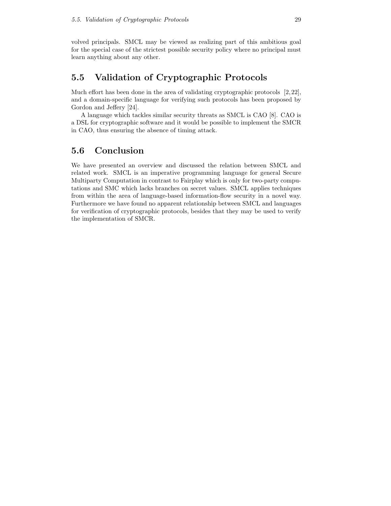volved principals. SMCL may be viewed as realizing part of this ambitious goal for the special case of the strictest possible security policy where no principal must learn anything about any other.

## 5.5 Validation of Cryptographic Protocols

Much effort has been done in the area of validating cryptographic protocols [2, 22], and a domain-specific language for verifying such protocols has been proposed by Gordon and Jeffery [24].

A language which tackles similar security threats as SMCL is CAO [8]. CAO is a DSL for cryptographic software and it would be possible to implement the SMCR in CAO, thus ensuring the absence of timing attack.

## 5.6 Conclusion

We have presented an overview and discussed the relation between SMCL and related work. SMCL is an imperative programming language for general Secure Multiparty Computation in contrast to Fairplay which is only for two-party computations and SMC which lacks branches on secret values. SMCL applies techniques from within the area of language-based information-flow security in a novel way. Furthermore we have found no apparent relationship between SMCL and languages for verification of cryptographic protocols, besides that they may be used to verify the implementation of SMCR.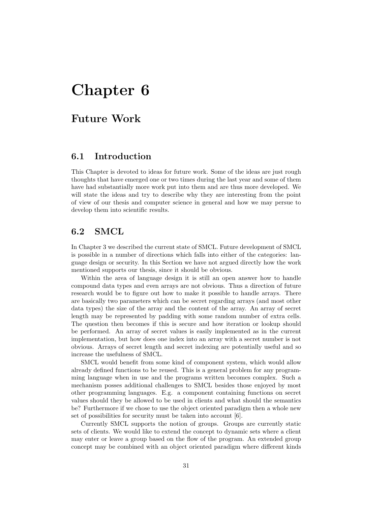# Chapter 6

## Future Work

### 6.1 Introduction

This Chapter is devoted to ideas for future work. Some of the ideas are just rough thoughts that have emerged one or two times during the last year and some of them have had substantially more work put into them and are thus more developed. We will state the ideas and try to describe why they are interesting from the point of view of our thesis and computer science in general and how we may persue to develop them into scientific results.

## 6.2 SMCL

In Chapter 3 we described the current state of SMCL. Future development of SMCL is possible in a number of directions which falls into either of the categories: language design or security. In this Section we have not argued directly how the work mentioned supports our thesis, since it should be obvious.

Within the area of language design it is still an open answer how to handle compound data types and even arrays are not obvious. Thus a direction of future research would be to figure out how to make it possible to handle arrays. There are basically two parameters which can be secret regarding arrays (and most other data types) the size of the array and the content of the array. An array of secret length may be represented by padding with some random number of extra cells. The question then becomes if this is secure and how iteration or lookup should be performed. An array of secret values is easily implemented as in the current implementation, but how does one index into an array with a secret number is not obvious. Arrays of secret length and secret indexing are potentially useful and so increase the usefulness of SMCL.

SMCL would benefit from some kind of component system, which would allow already defined functions to be reused. This is a general problem for any programming language when in use and the programs written becomes complex. Such a mechanism posses additional challenges to SMCL besides those enjoyed by most other programming languages. E.g. a component containing functions on secret values should they be allowed to be used in clients and what should the semantics be? Furthermore if we chose to use the object oriented paradigm then a whole new set of possibilities for security must be taken into account [6].

Currently SMCL supports the notion of groups. Groups are currently static sets of clients. We would like to extend the concept to dynamic sets where a client may enter or leave a group based on the flow of the program. An extended group concept may be combined with an object oriented paradigm where different kinds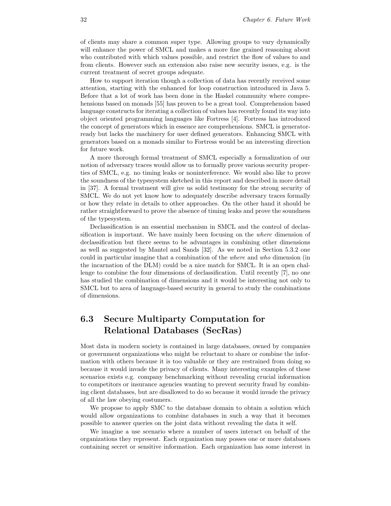of clients may share a common super type. Allowing groups to vary dynamically will enhance the power of SMCL and makes a more fine grained reasoning about who contributed with which values possible, and restrict the flow of values to and from clients. However such an extension also raise new security issues, e.g. is the current treatment of secret groups adequate.

How to support iteration though a collection of data has recently received some attention, starting with the enhanced for loop construction introduced in Java 5. Before that a lot of work has been done in the Haskel community where comprehensions based on monads [55] has proven to be a great tool. Comprehension based language constructs for iterating a collection of values has recently found its way into object oriented programming languages like Fortress [4]. Fortress has introduced the concept of generators which in essence are comprehensions. SMCL is generatorready but lacks the machinery for user defined generators. Enhancing SMCL with generators based on a monads similar to Fortress would be an interesting direction for future work.

A more thorough formal treatment of SMCL especially a formalization of our notion of adversary traces would allow us to formally prove various security properties of SMCL, e.g. no timing leaks or noninterference. We would also like to prove the soundness of the typesystem sketched in this report and described in more detail in [37]. A formal treatment will give us solid testimony for the strong security of SMCL. We do not yet know how to adequately describe adversary traces formally or how they relate in details to other approaches. On the other hand it should be rather straightforward to prove the absence of timing leaks and prove the soundness of the typesystem.

Declassification is an essential mechanism in SMCL and the control of declassification is important. We have mainly been focusing on the where dimension of declassification but there seems to be advantages in combining other dimensions as well as suggested by Mantel and Sands [32]. As we noted in Section 5.3.2 one could in particular imagine that a combination of the where and who dimension (in the incarnation of the DLM) could be a nice match for SMCL. It is an open challenge to combine the four dimensions of declassification. Until recently [7], no one has studied the combination of dimensions and it would be interesting not only to SMCL but to area of language-based security in general to study the combinations of dimensions.

## 6.3 Secure Multiparty Computation for Relational Databases (SecRas)

Most data in modern society is contained in large databases, owned by companies or government organizations who might be reluctant to share or combine the information with others because it is too valuable or they are restrained from doing so because it would invade the privacy of clients. Many interesting examples of these scenarios exists e.g. company benchmarking without revealing crucial information to competitors or insurance agencies wanting to prevent security fraud by combining client databases, but are disallowed to do so because it would invade the privacy of all the law obeying costumers.

We propose to apply SMC to the database domain to obtain a solution which would allow organizations to combine databases in such a way that it becomes possible to answer queries on the joint data without revealing the data it self.

We imagine a use scenario where a number of users interact on behalf of the organizations they represent. Each organization may posses one or more databases containing secret or sensitive information. Each organization has some interest in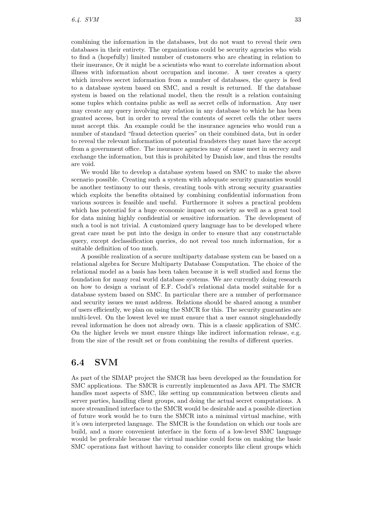combining the information in the databases, but do not want to reveal their own databases in their entirety. The organizations could be security agencies who wish to find a (hopefully) limited number of customers who are cheating in relation to their insurance, Or it might be a scientists who want to correlate information about illness with information about occupation and income. A user creates a query which involves secret information from a number of databases, the query is feed to a database system based on SMC, and a result is returned. If the database system is based on the relational model, then the result is a relation containing some tuples which contains public as well as secret cells of information. Any user may create any query involving any relation in any database to which he has been granted access, but in order to reveal the contents of secret cells the other users must accept this. An example could be the insurance agencies who would run a number of standard "fraud detection queries" on their combined data, but in order to reveal the relevant information of potential fraudsters they must have the accept from a government office. The insurance agencies may of cause meet in secrecy and exchange the information, but this is prohibited by Danish law, and thus the results are void.

We would like to develop a database system based on SMC to make the above scenario possible. Creating such a system with adequate security guaranties would be another testimony to our thesis, creating tools with strong security guaranties which exploits the benefits obtained by combining confidential information from various sources is feasible and useful. Furthermore it solves a practical problem which has potential for a huge economic impact on society as well as a great tool for data mining highly confidential or sensitive information. The development of such a tool is not trivial. A customized query language has to be developed where great care must be put into the design in order to ensure that any constructable query, except declassification queries, do not reveal too much information, for a suitable definition of too much.

A possible realization of a secure multiparty database system can be based on a relational algebra for Secure Multiparty Database Computation. The choice of the relational model as a basis has been taken because it is well studied and forms the foundation for many real world database systems. We are currently doing research on how to design a variant of E.F. Codd's relational data model suitable for a database system based on SMC. In particular there are a number of performance and security issues we must address. Relations should be shared among a number of users efficiently, we plan on using the SMCR for this. The security guaranties are multi-level. On the lowest level we must ensure that a user cannot singlehandedly reveal information he does not already own. This is a classic application of SMC. On the higher levels we must ensure things like indirect information release, e.g. from the size of the result set or from combining the results of different queries.

### 6.4 SVM

As part of the SIMAP project the SMCR has been developed as the foundation for SMC applications. The SMCR is currently implemented as Java API. The SMCR handles most aspects of SMC, like setting up communication between clients and server parties, handling client groups, and doing the actual secret computations. A more streamlined interface to the SMCR would be desirable and a possible direction of future work would be to turn the SMCR into a minimal virtual machine, with it's own interpreted language. The SMCR is the foundation on which our tools are build, and a more convenient interface in the form of a low-level SMC language would be preferable because the virtual machine could focus on making the basic SMC operations fast without having to consider concepts like client groups which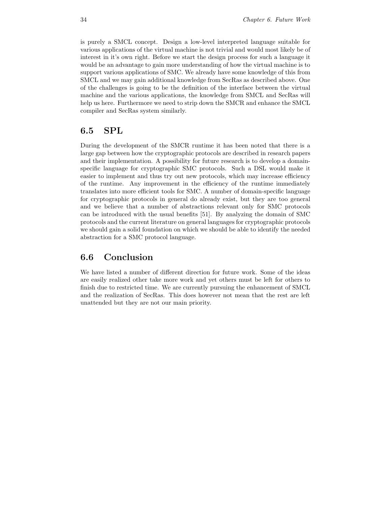is purely a SMCL concept. Design a low-level interpreted language suitable for various applications of the virtual machine is not trivial and would most likely be of interest in it's own right. Before we start the design process for such a language it would be an advantage to gain more understanding of how the virtual machine is to support various applications of SMC. We already have some knowledge of this from SMCL and we may gain additional knowledge from SecRas as described above. One of the challenges is going to be the definition of the interface between the virtual machine and the various applications, the knowledge from SMCL and SecRas will help us here. Furthermore we need to strip down the SMCR and enhance the SMCL compiler and SecRas system similarly.

## 6.5 SPL

During the development of the SMCR runtime it has been noted that there is a large gap between how the cryptographic protocols are described in research papers and their implementation. A possibility for future research is to develop a domainspecific language for cryptographic SMC protocols. Such a DSL would make it easier to implement and thus try out new protocols, which may increase efficiency of the runtime. Any improvement in the efficiency of the runtime immediately translates into more efficient tools for SMC. A number of domain-specific language for cryptographic protocols in general do already exist, but they are too general and we believe that a number of abstractions relevant only for SMC protocols can be introduced with the usual benefits [51]. By analyzing the domain of SMC protocols and the current literature on general languages for cryptographic protocols we should gain a solid foundation on which we should be able to identify the needed abstraction for a SMC protocol language.

### 6.6 Conclusion

We have listed a number of different direction for future work. Some of the ideas are easily realized other take more work and yet others must be left for others to finish due to restricted time. We are currently pursuing the enhancement of SMCL and the realization of SecRas. This does however not mean that the rest are left unattended but they are not our main priority.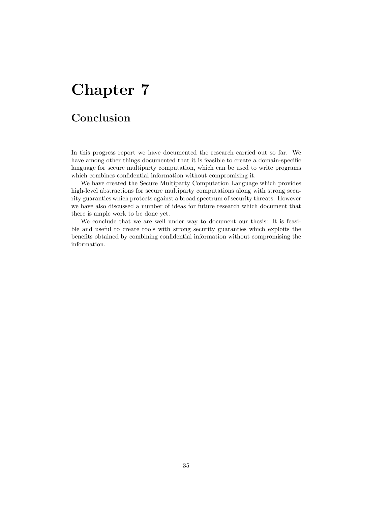# Chapter 7

## Conclusion

In this progress report we have documented the research carried out so far. We have among other things documented that it is feasible to create a domain-specific language for secure multiparty computation, which can be used to write programs which combines confidential information without compromising it.

We have created the Secure Multiparty Computation Language which provides high-level abstractions for secure multiparty computations along with strong security guaranties which protects against a broad spectrum of security threats. However we have also discussed a number of ideas for future research which document that there is ample work to be done yet.

We conclude that we are well under way to document our thesis: It is feasible and useful to create tools with strong security guaranties which exploits the benefits obtained by combining confidential information without compromising the information.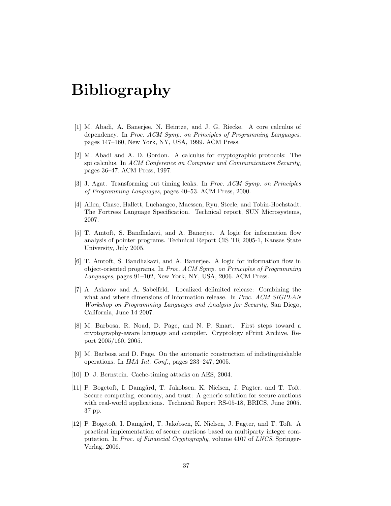# Bibliography

- [1] M. Abadi, A. Banerjee, N. Heintze, and J. G. Riecke. A core calculus of dependency. In Proc. ACM Symp. on Principles of Programming Languages, pages 147–160, New York, NY, USA, 1999. ACM Press.
- [2] M. Abadi and A. D. Gordon. A calculus for cryptographic protocols: The spi calculus. In ACM Conference on Computer and Communications Security, pages 36–47. ACM Press, 1997.
- [3] J. Agat. Transforming out timing leaks. In Proc. ACM Symp. on Principles of Programming Languages, pages 40–53. ACM Press, 2000.
- [4] Allen, Chase, Hallett, Luchangco, Maessen, Ryu, Steele, and Tobin-Hochstadt. The Fortress Language Specification. Technical report, SUN Microsystems, 2007.
- [5] T. Amtoft, S. Bandhakavi, and A. Banerjee. A logic for information flow analysis of pointer programs. Technical Report CIS TR 2005-1, Kansas State University, July 2005.
- [6] T. Amtoft, S. Bandhakavi, and A. Banerjee. A logic for information flow in object-oriented programs. In Proc. ACM Symp. on Principles of Programming Languages, pages 91–102, New York, NY, USA, 2006. ACM Press.
- [7] A. Askarov and A. Sabelfeld. Localized delimited release: Combining the what and where dimensions of information release. In *Proc. ACM SIGPLAN* Workshop on Programming Languages and Analysis for Security, San Diego, California, June 14 2007.
- [8] M. Barbosa, R. Noad, D. Page, and N. P. Smart. First steps toward a cryptography-aware language and compiler. Cryptology ePrint Archive, Report 2005/160, 2005.
- [9] M. Barbosa and D. Page. On the automatic construction of indistinguishable operations. In IMA Int. Conf., pages 233–247, 2005.
- [10] D. J. Bernstein. Cache-timing attacks on AES, 2004.
- [11] P. Bogetoft, I. Damgård, T. Jakobsen, K. Nielsen, J. Pagter, and T. Toft. Secure computing, economy, and trust: A generic solution for secure auctions with real-world applications. Technical Report RS-05-18, BRICS, June 2005. 37 pp.
- [12] P. Bogetoft, I. Damgård, T. Jakobsen, K. Nielsen, J. Pagter, and T. Toft. A practical implementation of secure auctions based on multiparty integer computation. In Proc. of Financial Cryptography, volume 4107 of LNCS. Springer-Verlag, 2006.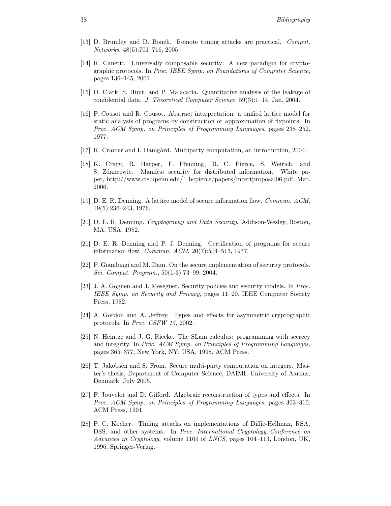- [13] D. Brumley and D. Boneh. Remote timing attacks are practical. Comput. Networks, 48(5):701–716, 2005.
- [14] R. Canetti. Universally composable security: A new paradigm for cryptographic protocols. In Proc. IEEE Symp. on Foundations of Computer Science, pages 136–145, 2001.
- [15] D. Clark, S. Hunt, and P. Malacaria. Quantitative analysis of the leakage of confidential data. J. Theoretical Computer Science, 59(3):1–14, Jan. 2004.
- [16] P. Cousot and R. Cousot. Abstract interpretation: a unified lattice model for static analysis of programs by construction or approximation of fixpoints. In Proc. ACM Symp. on Principles of Programming Languages, pages 238–252, 1977.
- [17] R. Cramer and I. Damgård. Multiparty computation, an introduction, 2004.
- [18] K. Crary, R. Harper, F. Pfenning, B. C. Pierce, S. Weirich, and S. Zdancewic. Manifest security for distributed information. White paper, http://www.cis.upenn.edu/˜ bcpierce/papers/incertproposal06.pdf, Mar. 2006.
- [19] D. E. R. Denning. A lattice model of secure information flow. Commun. ACM, 19(5):236–243, 1976.
- [20] D. E. R. Denning. Cryptography and Data Security. Addison-Wesley, Boston, MA, USA, 1982.
- [21] D. E. R. Denning and P. J. Denning. Certification of programs for secure information flow. Commun. ACM, 20(7):504–513, 1977.
- [22] P. Giambiagi and M. Dam. On the secure implementation of security protocols. Sci. Comput. Program., 50(1-3):73–99, 2004.
- [23] J. A. Goguen and J. Meseguer. Security policies and security models. In Proc. IEEE Symp. on Security and Privacy, pages 11–20. IEEE Computer Society Press, 1982.
- [24] A. Gordon and A. Jeffrey. Types and effects for asymmetric cryptographic protocols. In Proc. CSFW 15, 2002.
- [25] N. Heintze and J. G. Riecke. The SLam calculus: programming with secrecy and integrity. In Proc. ACM Symp. on Principles of Programming Languages, pages 365–377, New York, NY, USA, 1998. ACM Press.
- [26] T. Jakobsen and S. From. Secure multi-party computation on integers. Master's thesis, Department of Computer Science, DAIMI, University of Aarhus, Denmark, July 2005.
- [27] P. Jouvelot and D. Gifford. Algebraic reconstruction of types and effects. In Proc. ACM Symp. on Principles of Programming Languages, pages 303–310. ACM Press, 1991.
- [28] P. C. Kocher. Timing attacks on implementations of Diffie-Hellman, RSA, DSS, and other systems. In Proc. International Cryptology Conference on Advances in Cryptology, volume 1109 of LNCS, pages 104–113, London, UK, 1996. Springer-Verlag.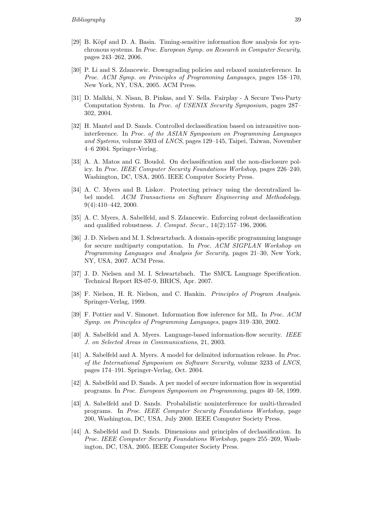- [29] B. Köpf and D. A. Basin. Timing-sensitive information flow analysis for synchronous systems. In Proc. European Symp. on Research in Computer Security, pages 243–262, 2006.
- [30] P. Li and S. Zdancewic. Downgrading policies and relaxed noninterference. In Proc. ACM Symp. on Principles of Programming Languages, pages 158–170, New York, NY, USA, 2005. ACM Press.
- [31] D. Malkhi, N. Nisan, B. Pinkas, and Y. Sella. Fairplay A Secure Two-Party Computation System. In Proc. of USENIX Security Symposium, pages 287– 302, 2004.
- [32] H. Mantel and D. Sands. Controlled declassification based on intransitive noninterference. In Proc. of the ASIAN Symposium on Programming Languages and Systems, volume 3303 of LNCS, pages 129–145, Taipei, Taiwan, November 4–6 2004. Springer-Verlag.
- [33] A. A. Matos and G. Boudol. On declassification and the non-disclosure policy. In Proc. IEEE Computer Security Foundations Workshop, pages 226–240, Washington, DC, USA, 2005. IEEE Computer Society Press.
- [34] A. C. Myers and B. Liskov. Protecting privacy using the decentralized label model. ACM Transactions on Software Engineering and Methodology, 9(4):410–442, 2000.
- [35] A. C. Myers, A. Sabelfeld, and S. Zdancewic. Enforcing robust declassification and qualified robustness. J. Comput. Secur., 14(2):157–196, 2006.
- [36] J. D. Nielsen and M. I. Schwartzbach. A domain-specific programming language for secure multiparty computation. In Proc. ACM SIGPLAN Workshop on Programming Languages and Analysis for Security, pages 21–30, New York, NY, USA, 2007. ACM Press.
- [37] J. D. Nielsen and M. I. Schwartzbach. The SMCL Language Specification. Technical Report RS-07-9, BRICS, Apr. 2007.
- [38] F. Nielson, H. R. Nielson, and C. Hankin. Principles of Program Analysis. Springer-Verlag, 1999.
- [39] F. Pottier and V. Simonet. Information flow inference for ML. In Proc. ACM Symp. on Principles of Programming Languages, pages 319–330, 2002.
- [40] A. Sabelfeld and A. Myers. Language-based information-flow security. IEEE J. on Selected Areas in Communications, 21, 2003.
- [41] A. Sabelfeld and A. Myers. A model for delimited information release. In Proc. of the International Symposium on Software Security, volume 3233 of LNCS, pages 174–191. Springer-Verlag, Oct. 2004.
- [42] A. Sabelfeld and D. Sands. A per model of secure information flow in sequential programs. In Proc. European Symposium on Programming, pages 40–58, 1999.
- [43] A. Sabelfeld and D. Sands. Probabilistic noninterference for multi-threaded programs. In Proc. IEEE Computer Security Foundations Workshop, page 200, Washington, DC, USA, July 2000. IEEE Computer Society Press.
- [44] A. Sabelfeld and D. Sands. Dimensions and principles of declassification. In Proc. IEEE Computer Security Foundations Workshop, pages 255–269, Washington, DC, USA, 2005. IEEE Computer Society Press.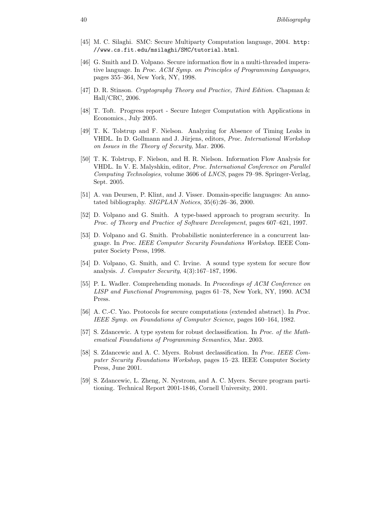- [45] M. C. Silaghi. SMC: Secure Multiparty Computation language, 2004. http: //www.cs.fit.edu/msilaghi/SMC/tutorial.html.
- [46] G. Smith and D. Volpano. Secure information flow in a multi-threaded imperative language. In Proc. ACM Symp. on Principles of Programming Languages, pages 355–364, New York, NY, 1998.
- [47] D. R. Stinson. Cryptography Theory and Practice, Third Edition. Chapman & Hall/CRC, 2006.
- [48] T. Toft. Progress report Secure Integer Computation with Applications in Economics., July 2005.
- [49] T. K. Tolstrup and F. Nielson. Analyzing for Absence of Timing Leaks in VHDL. In D. Gollmann and J. Jürjens, editors, Proc. International Workshop on Issues in the Theory of Security, Mar. 2006.
- [50] T. K. Tolstrup, F. Nielson, and H. R. Nielson. Information Flow Analysis for VHDL. In V. E. Malyshkin, editor, Proc. International Conference on Parallel Computing Technologies, volume 3606 of LNCS, pages 79–98. Springer-Verlag, Sept. 2005.
- [51] A. van Deursen, P. Klint, and J. Visser. Domain-specific languages: An annotated bibliography. SIGPLAN Notices, 35(6):26–36, 2000.
- [52] D. Volpano and G. Smith. A type-based approach to program security. In Proc. of Theory and Practice of Software Development, pages 607–621, 1997.
- [53] D. Volpano and G. Smith. Probabilistic noninterference in a concurrent language. In Proc. IEEE Computer Security Foundations Workshop. IEEE Computer Society Press, 1998.
- [54] D. Volpano, G. Smith, and C. Irvine. A sound type system for secure flow analysis. J. Computer Security, 4(3):167–187, 1996.
- [55] P. L. Wadler. Comprehending monads. In Proceedings of ACM Conference on LISP and Functional Programming, pages 61–78, New York, NY, 1990. ACM Press.
- [56] A. C.-C. Yao. Protocols for secure computations (extended abstract). In Proc. IEEE Symp. on Foundations of Computer Science, pages 160–164, 1982.
- [57] S. Zdancewic. A type system for robust declassification. In Proc. of the Mathematical Foundations of Programming Semantics, Mar. 2003.
- [58] S. Zdancewic and A. C. Myers. Robust declassification. In Proc. IEEE Computer Security Foundations Workshop, pages 15–23. IEEE Computer Society Press, June 2001.
- [59] S. Zdancewic, L. Zheng, N. Nystrom, and A. C. Myers. Secure program partitioning. Technical Report 2001-1846, Cornell University, 2001.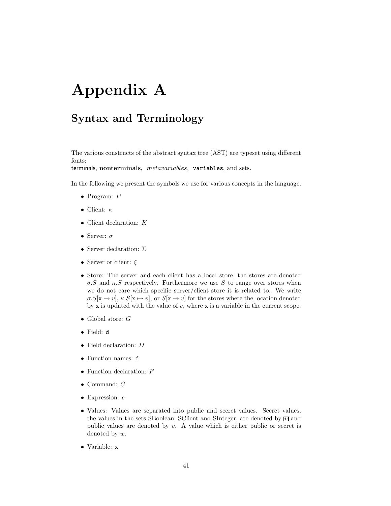# Appendix A

## Syntax and Terminology

The various constructs of the abstract syntax tree (AST) are typeset using different fonts:

terminals, nonterminals, metavariables, variables, and sets.

In the following we present the symbols we use for various concepts in the language.

- Program: P
- Client:  $\kappa$
- Client declaration: K
- Server:  $\sigma$
- $\bullet\,$  Server declaration:  $\Sigma$
- Server or client:  $\xi$
- Store: The server and each client has a local store, the stores are denoted  $\sigma.S$  and  $\kappa.S$  respectively. Furthermore we use S to range over stores when we do not care which specific server/client store it is related to. We write  $\sigma.S[\mathbf{x} \mapsto v], \kappa.S[\mathbf{x} \mapsto v], \text{ or } S[\mathbf{x} \mapsto v] \text{ for the stores where the location denoted }$ by x is updated with the value of  $v$ , where x is a variable in the current scope.
- Global store:  $G$
- Field: d
- Field declaration: D
- Function names: f
- Function declaration: F
- Command: C
- Expression: e
- Values: Values are separated into public and secret values. Secret values, the values in the sets SBoolean, SClient and SInteger, are denoted by  $\overline{v}$  and public values are denoted by  $v$ . A value which is either public or secret is denoted by w.
- Variable: x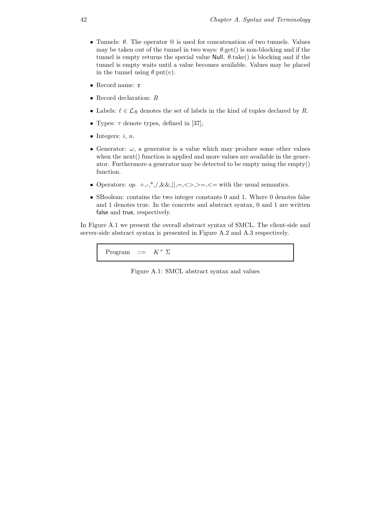- Tunnels:  $\theta$ . The operator  $\Theta$  is used for concatenation of two tunnels. Values may be taken out of the tunnel in two ways:  $\theta$ .get() is non-blocking and if the tunnel is empty returns the special value Null.  $\theta$  take() is blocking and if the tunnel is empty waits until a value becomes available. Values may be placed in the tunnel using  $\theta$ .put(*v*).
- Record name: r
- $\bullet\,$  Record declaration:  $R$
- Labels:  $\ell \in \mathcal{L}_R$  denotes the set of labels in the kind of tuples declared by R.
- Types:  $\tau$  denote types, defined in [37],
- Integers:  $i, n$ .
- Generator:  $\omega$ , a generator is a value which may produce some other values when the next() function is applied and more values are available in the generator. Furthermore a generator may be detected to be empty using the empty() function.
- Operators:  $op. +,-, *,/$ ,  $\&&,||, =, <>,>=, =$  with the usual semantics.
- SBoolean: contains the two integer constants 0 and 1. Where 0 denotes false and 1 denotes true. In the concrete and abstract syntax, 0 and 1 are written false and true, respectively.

In Figure A.1 we present the overall abstract syntax of SMCL. The client-side and server-side abstract syntax is presented in Figure A.2 and A.3 respectively.

Program ::=  $K^+ \Sigma$ 

Figure A.1: SMCL abstract syntax and values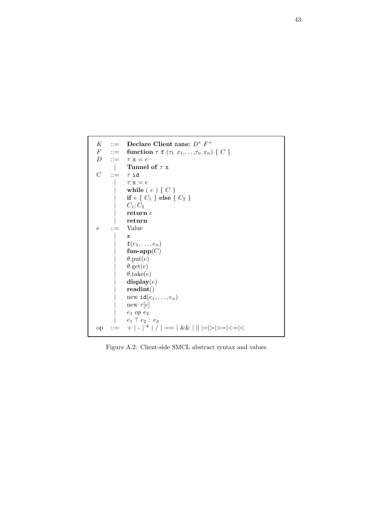```
K ::= Declare Client name: D^* F^+F ::= function \tau f (\tau_1 x_1, \ldots, \tau_n x_n) \{ C \}<br>D ::= \tau x = e
       ::= \tau x = e| Tunnel of \tau xC ::= \tau id
              \tau x = e
             while ( e ) { C }
             if e \{ C_1 \} else \{ C_2 \}C_1; C_2return\boldsymbol{e}{\bf return}e ::= Value
              \mathbf x\texttt{f}(e_1, \ldots, e_n){\bf fun}\text{-}{\bf app}(C)\theta.put(e)\theta.\text{get}(e)\theta.\text{take}(e)\mathbf{display}(e)\mathbf{readint}()new id(e_1, \ldots, e_n)new \tau[e]e_1 op e_2e_1 ? e_2 : e_3op ::= +|-|*|/| ==| && ||| |=|>|>=|<=|<
```
Figure A.2: Client-side SMCL abstract syntax and values